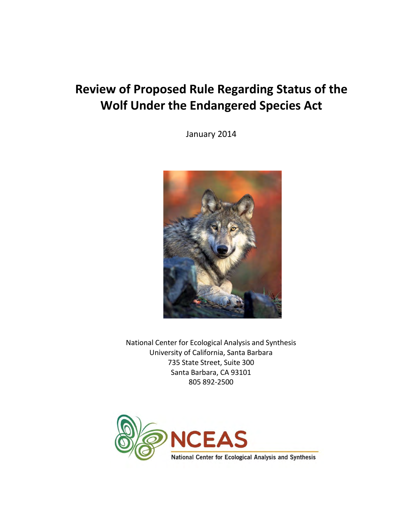# **Review of Proposed Rule Regarding Status of the Wolf Under the Endangered Species Act**

January 2014



National Center for Ecological Analysis and Synthesis University of California, Santa Barbara 735 State Street, Suite 300 Santa Barbara, CA 93101 805 892-2500

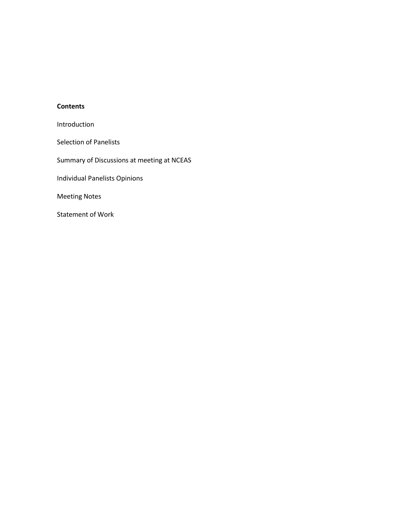# **Contents**

Introduction

Selection of Panelists

Summary of Discussions at meeting at NCEAS

Individual Panelists Opinions

Meeting Notes

Statement of Work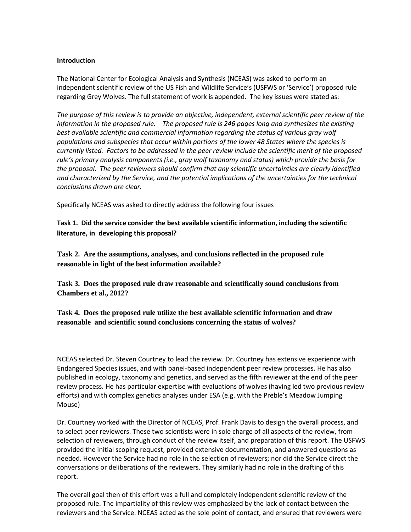### **Introduction**

The National Center for Ecological Analysis and Synthesis (NCEAS) was asked to perform an independent scientific review of the US Fish and Wildlife Service's (USFWS or 'Service') proposed rule regarding Grey Wolves. The full statement of work is appended. The key issues were stated as:

*The purpose of this review is to provide an objective, independent, external scientific peer review of the information in the proposed rule. The proposed rule is 246 pages long and synthesizes the existing best available scientific and commercial information regarding the status of various gray wolf populations and subspecies that occur within portions of the lower 48 States where the species is currently listed. Factors to be addressed in the peer review include the scientific merit of the proposed rule's primary analysis components (i.e., gray wolf taxonomy and status) which provide the basis for the proposal. The peer reviewers should confirm that any scientific uncertainties are clearly identified and characterized by the Service, and the potential implications of the uncertainties for the technical conclusions drawn are clear.* 

Specifically NCEAS was asked to directly address the following four issues

**Task 1. Did the service consider the best available scientific information, including the scientific literature, in developing this proposal?** 

**Task 2. Are the assumptions, analyses, and conclusions reflected in the proposed rule reasonable in light of the best information available?** 

**Task 3. Does the proposed rule draw reasonable and scientifically sound conclusions from Chambers et al., 2012?** 

**Task 4. Does the proposed rule utilize the best available scientific information and draw reasonable and scientific sound conclusions concerning the status of wolves?**

NCEAS selected Dr. Steven Courtney to lead the review. Dr. Courtney has extensive experience with Endangered Species issues, and with panel-based independent peer review processes. He has also published in ecology, taxonomy and genetics, and served as the fifth reviewer at the end of the peer review process. He has particular expertise with evaluations of wolves (having led two previous review efforts) and with complex genetics analyses under ESA (e.g. with the Preble's Meadow Jumping Mouse)

Dr. Courtney worked with the Director of NCEAS, Prof. Frank Davis to design the overall process, and to select peer reviewers. These two scientists were in sole charge of all aspects of the review, from selection of reviewers, through conduct of the review itself, and preparation of this report. The USFWS provided the initial scoping request, provided extensive documentation, and answered questions as needed. However the Service had no role in the selection of reviewers; nor did the Service direct the conversations or deliberations of the reviewers. They similarly had no role in the drafting of this report.

The overall goal then of this effort was a full and completely independent scientific review of the proposed rule. The impartiality of this review was emphasized by the lack of contact between the reviewers and the Service. NCEAS acted as the sole point of contact, and ensured that reviewers were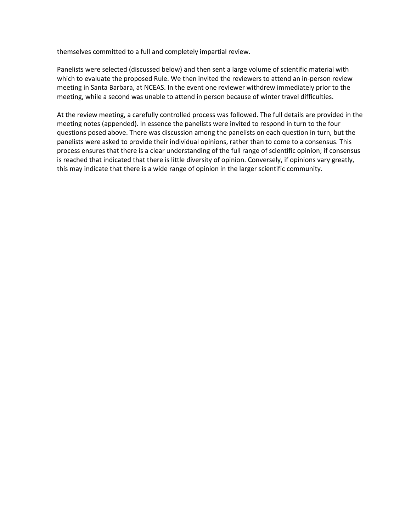themselves committed to a full and completely impartial review.

Panelists were selected (discussed below) and then sent a large volume of scientific material with which to evaluate the proposed Rule. We then invited the reviewers to attend an in-person review meeting in Santa Barbara, at NCEAS. In the event one reviewer withdrew immediately prior to the meeting, while a second was unable to attend in person because of winter travel difficulties.

At the review meeting, a carefully controlled process was followed. The full details are provided in the meeting notes (appended). In essence the panelists were invited to respond in turn to the four questions posed above. There was discussion among the panelists on each question in turn, but the panelists were asked to provide their individual opinions, rather than to come to a consensus. This process ensures that there is a clear understanding of the full range of scientific opinion; if consensus is reached that indicated that there is little diversity of opinion. Conversely, if opinions vary greatly, this may indicate that there is a wide range of opinion in the larger scientific community.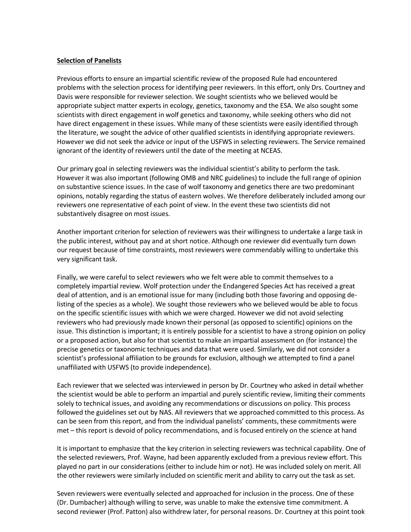### **Selection of Panelists**

Previous efforts to ensure an impartial scientific review of the proposed Rule had encountered problems with the selection process for identifying peer reviewers. In this effort, only Drs. Courtney and Davis were responsible for reviewer selection. We sought scientists who we believed would be appropriate subject matter experts in ecology, genetics, taxonomy and the ESA. We also sought some scientists with direct engagement in wolf genetics and taxonomy, while seeking others who did not have direct engagement in these issues. While many of these scientists were easily identified through the literature, we sought the advice of other qualified scientists in identifying appropriate reviewers. However we did not seek the advice or input of the USFWS in selecting reviewers. The Service remained ignorant of the identity of reviewers until the date of the meeting at NCEAS.

Our primary goal in selecting reviewers was the individual scientist's ability to perform the task. However it was also important (following OMB and NRC guidelines) to include the full range of opinion on substantive science issues. In the case of wolf taxonomy and genetics there are two predominant opinions, notably regarding the status of eastern wolves. We therefore deliberately included among our reviewers one representative of each point of view. In the event these two scientists did not substantively disagree on most issues.

Another important criterion for selection of reviewers was their willingness to undertake a large task in the public interest, without pay and at short notice. Although one reviewer did eventually turn down our request because of time constraints, most reviewers were commendably willing to undertake this very significant task.

Finally, we were careful to select reviewers who we felt were able to commit themselves to a completely impartial review. Wolf protection under the Endangered Species Act has received a great deal of attention, and is an emotional issue for many (including both those favoring and opposing delisting of the species as a whole). We sought those reviewers who we believed would be able to focus on the specific scientific issues with which we were charged. However we did not avoid selecting reviewers who had previously made known their personal (as opposed to scientific) opinions on the issue. This distinction is important; it is entirely possible for a scientist to have a strong opinion on policy or a proposed action, but also for that scientist to make an impartial assessment on (for instance) the precise genetics or taxonomic techniques and data that were used. Similarly, we did not consider a scientist's professional affiliation to be grounds for exclusion, although we attempted to find a panel unaffiliated with USFWS (to provide independence).

Each reviewer that we selected was interviewed in person by Dr. Courtney who asked in detail whether the scientist would be able to perform an impartial and purely scientific review, limiting their comments solely to technical issues, and avoiding any recommendations or discussions on policy. This process followed the guidelines set out by NAS. All reviewers that we approached committed to this process. As can be seen from this report, and from the individual panelists' comments, these commitments were met – this report is devoid of policy recommendations, and is focused entirely on the science at hand

It is important to emphasize that the key criterion in selecting reviewers was technical capability. One of the selected reviewers, Prof. Wayne, had been apparently excluded from a previous review effort. This played no part in our considerations (either to include him or not). He was included solely on merit. All the other reviewers were similarly included on scientific merit and ability to carry out the task as set.

Seven reviewers were eventually selected and approached for inclusion in the process. One of these (Dr. Dumbacher) although willing to serve, was unable to make the extensive time commitment. A second reviewer (Prof. Patton) also withdrew later, for personal reasons. Dr. Courtney at this point took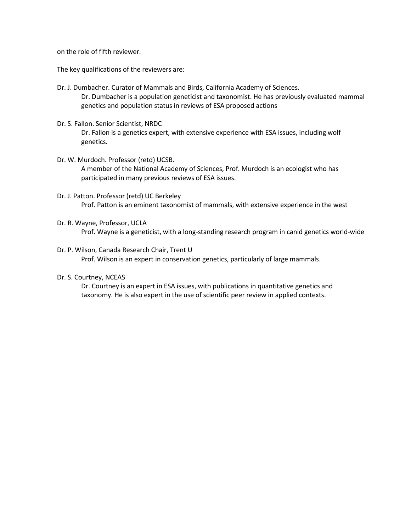on the role of fifth reviewer.

The key qualifications of the reviewers are:

- Dr. J. Dumbacher. Curator of Mammals and Birds, California Academy of Sciences. Dr. Dumbacher is a population geneticist and taxonomist. He has previously evaluated mammal genetics and population status in reviews of ESA proposed actions
- Dr. S. Fallon. Senior Scientist, NRDC Dr. Fallon is a genetics expert, with extensive experience with ESA issues, including wolf genetics.
- Dr. W. Murdoch. Professor (retd) UCSB. A member of the National Academy of Sciences, Prof. Murdoch is an ecologist who has participated in many previous reviews of ESA issues.
- Dr. J. Patton. Professor (retd) UC Berkeley Prof. Patton is an eminent taxonomist of mammals, with extensive experience in the west
- Dr. R. Wayne, Professor, UCLA

Prof. Wayne is a geneticist, with a long-standing research program in canid genetics world-wide

- Dr. P. Wilson, Canada Research Chair, Trent U Prof. Wilson is an expert in conservation genetics, particularly of large mammals.
- Dr. S. Courtney, NCEAS

Dr. Courtney is an expert in ESA issues, with publications in quantitative genetics and taxonomy. He is also expert in the use of scientific peer review in applied contexts.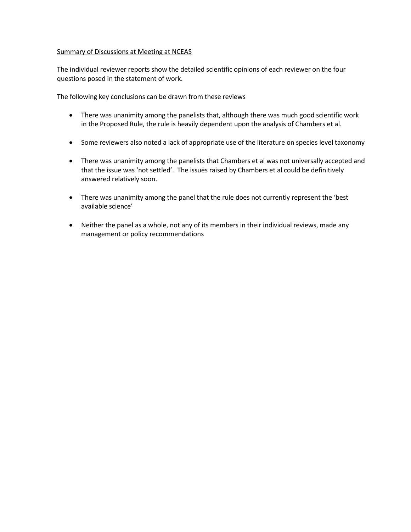### Summary of Discussions at Meeting at NCEAS

The individual reviewer reports show the detailed scientific opinions of each reviewer on the four questions posed in the statement of work.

The following key conclusions can be drawn from these reviews

- There was unanimity among the panelists that, although there was much good scientific work in the Proposed Rule, the rule is heavily dependent upon the analysis of Chambers et al.
- Some reviewers also noted a lack of appropriate use of the literature on species level taxonomy
- There was unanimity among the panelists that Chambers et al was not universally accepted and that the issue was 'not settled'. The issues raised by Chambers et al could be definitively answered relatively soon.
- There was unanimity among the panel that the rule does not currently represent the 'best available science'
- Neither the panel as a whole, not any of its members in their individual reviews, made any management or policy recommendations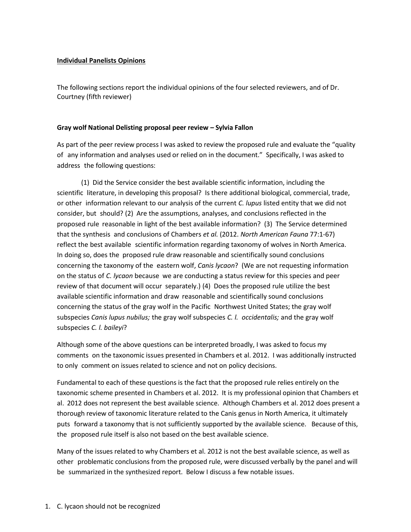### **Individual Panelists Opinions**

The following sections report the individual opinions of the four selected reviewers, and of Dr. Courtney (fifth reviewer)

### **Gray wolf National Delisting proposal peer review – Sylvia Fallon**

As part of the peer review process I was asked to review the proposed rule and evaluate the "quality of any information and analyses used or relied on in the document." Specifically, I was asked to address the following questions:

(1) Did the Service consider the best available scientific information, including the scientific literature, in developing this proposal? Is there additional biological, commercial, trade, or other information relevant to our analysis of the current *C. lupus* listed entity that we did not consider, but should? (2) Are the assumptions, analyses, and conclusions reflected in the proposed rule reasonable in light of the best available information? (3) The Service determined that the synthesis and conclusions of Chambers *et al.* (2012. *North American Fauna* 77:1-67) reflect the best available scientific information regarding taxonomy of wolves in North America. In doing so, does the proposed rule draw reasonable and scientifically sound conclusions concerning the taxonomy of the eastern wolf, *Canis lycaon*? (We are not requesting information on the status of *C. lycaon* because we are conducting a status review for this species and peer review of that document will occur separately.) (4) Does the proposed rule utilize the best available scientific information and draw reasonable and scientifically sound conclusions concerning the status of the gray wolf in the Pacific Northwest United States; the gray wolf subspecies *Canis lupus nubilus;* the gray wolf subspecies *C. l. occidentalis;* and the gray wolf subspecies *C. l. baileyi*?

Although some of the above questions can be interpreted broadly, I was asked to focus my comments on the taxonomic issues presented in Chambers et al. 2012. I was additionally instructed to only comment on issues related to science and not on policy decisions.

Fundamental to each of these questions is the fact that the proposed rule relies entirely on the taxonomic scheme presented in Chambers et al. 2012. It is my professional opinion that Chambers et al. 2012 does not represent the best available science. Although Chambers et al. 2012 does present a thorough review of taxonomic literature related to the Canis genus in North America, it ultimately puts forward a taxonomy that is not sufficiently supported by the available science. Because of this, the proposed rule itself is also not based on the best available science.

Many of the issues related to why Chambers et al. 2012 is not the best available science, as well as other problematic conclusions from the proposed rule, were discussed verbally by the panel and will be summarized in the synthesized report. Below I discuss a few notable issues.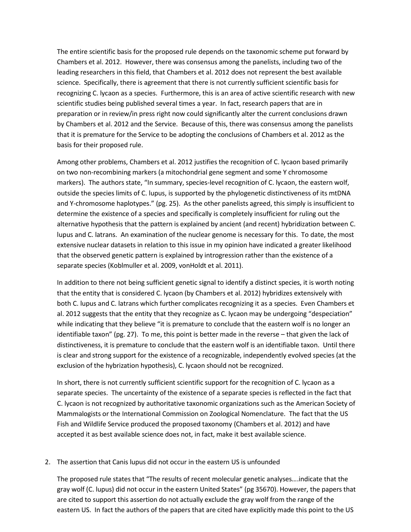The entire scientific basis for the proposed rule depends on the taxonomic scheme put forward by Chambers et al. 2012. However, there was consensus among the panelists, including two of the leading researchers in this field, that Chambers et al. 2012 does not represent the best available science. Specifically, there is agreement that there is not currently sufficient scientific basis for recognizing C. lycaon as a species. Furthermore, this is an area of active scientific research with new scientific studies being published several times a year. In fact, research papers that are in preparation or in review/in press right now could significantly alter the current conclusions drawn by Chambers et al. 2012 and the Service. Because of this, there was consensus among the panelists that it is premature for the Service to be adopting the conclusions of Chambers et al. 2012 as the basis for their proposed rule.

Among other problems, Chambers et al. 2012 justifies the recognition of C. lycaon based primarily on two non-recombining markers (a mitochondrial gene segment and some Y chromosome markers). The authors state, "In summary, species-level recognition of C. lycaon, the eastern wolf, outside the species limits of C. lupus, is supported by the phylogenetic distinctiveness of its mtDNA and Y-chromosome haplotypes." (pg. 25). As the other panelists agreed, this simply is insufficient to determine the existence of a species and specifically is completely insufficient for ruling out the alternative hypothesis that the pattern is explained by ancient (and recent) hybridization between C. lupus and C. latrans. An examination of the nuclear genome is necessary for this. To date, the most extensive nuclear datasets in relation to this issue in my opinion have indicated a greater likelihood that the observed genetic pattern is explained by introgression rather than the existence of a separate species (Koblmuller et al. 2009, vonHoldt et al. 2011).

In addition to there not being sufficient genetic signal to identify a distinct species, it is worth noting that the entity that is considered C. lycaon (by Chambers et al. 2012) hybridizes extensively with both C. lupus and C. latrans which further complicates recognizing it as a species. Even Chambers et al. 2012 suggests that the entity that they recognize as C. lycaon may be undergoing "despeciation" while indicating that they believe "it is premature to conclude that the eastern wolf is no longer an identifiable taxon" (pg. 27). To me, this point is better made in the reverse – that given the lack of distinctiveness, it is premature to conclude that the eastern wolf is an identifiable taxon. Until there is clear and strong support for the existence of a recognizable, independently evolved species (at the exclusion of the hybrization hypothesis), C. lycaon should not be recognized.

In short, there is not currently sufficient scientific support for the recognition of C. lycaon as a separate species. The uncertainty of the existence of a separate species is reflected in the fact that C. lycaon is not recognized by authoritative taxonomic organizations such as the American Society of Mammalogists or the International Commission on Zoological Nomenclature. The fact that the US Fish and Wildlife Service produced the proposed taxonomy (Chambers et al. 2012) and have accepted it as best available science does not, in fact, make it best available science.

### 2. The assertion that Canis lupus did not occur in the eastern US is unfounded

The proposed rule states that "The results of recent molecular genetic analyses….indicate that the gray wolf (C. lupus) did not occur in the eastern United States" (pg 35670). However, the papers that are cited to support this assertion do not actually exclude the gray wolf from the range of the eastern US. In fact the authors of the papers that are cited have explicitly made this point to the US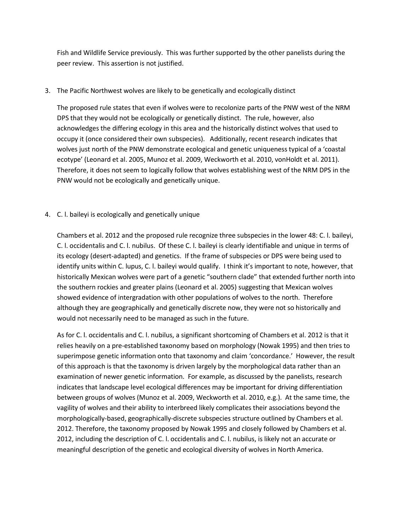Fish and Wildlife Service previously. This was further supported by the other panelists during the peer review. This assertion is not justified.

3. The Pacific Northwest wolves are likely to be genetically and ecologically distinct

The proposed rule states that even if wolves were to recolonize parts of the PNW west of the NRM DPS that they would not be ecologically or genetically distinct. The rule, however, also acknowledges the differing ecology in this area and the historically distinct wolves that used to occupy it (once considered their own subspecies). Additionally, recent research indicates that wolves just north of the PNW demonstrate ecological and genetic uniqueness typical of a 'coastal ecotype' (Leonard et al. 2005, Munoz et al. 2009, Weckworth et al. 2010, vonHoldt et al. 2011). Therefore, it does not seem to logically follow that wolves establishing west of the NRM DPS in the PNW would not be ecologically and genetically unique.

4. C. l. baileyi is ecologically and genetically unique

Chambers et al. 2012 and the proposed rule recognize three subspecies in the lower 48: C. l. baileyi, C. l. occidentalis and C. l. nubilus. Of these C. l. baileyi is clearly identifiable and unique in terms of its ecology (desert-adapted) and genetics. If the frame of subspecies or DPS were being used to identify units within C. lupus, C. l. baileyi would qualify. I think it's important to note, however, that historically Mexican wolves were part of a genetic "southern clade" that extended further north into the southern rockies and greater plains (Leonard et al. 2005) suggesting that Mexican wolves showed evidence of intergradation with other populations of wolves to the north. Therefore although they are geographically and genetically discrete now, they were not so historically and would not necessarily need to be managed as such in the future.

As for C. l. occidentalis and C. l. nubilus, a significant shortcoming of Chambers et al. 2012 is that it relies heavily on a pre-established taxonomy based on morphology (Nowak 1995) and then tries to superimpose genetic information onto that taxonomy and claim 'concordance.' However, the result of this approach is that the taxonomy is driven largely by the morphological data rather than an examination of newer genetic information. For example, as discussed by the panelists, research indicates that landscape level ecological differences may be important for driving differentiation between groups of wolves (Munoz et al. 2009, Weckworth et al. 2010, e.g.). At the same time, the vagility of wolves and their ability to interbreed likely complicates their associations beyond the morphologically-based, geographically-discrete subspecies structure outlined by Chambers et al. 2012. Therefore, the taxonomy proposed by Nowak 1995 and closely followed by Chambers et al. 2012, including the description of C. l. occidentalis and C. l. nubilus, is likely not an accurate or meaningful description of the genetic and ecological diversity of wolves in North America.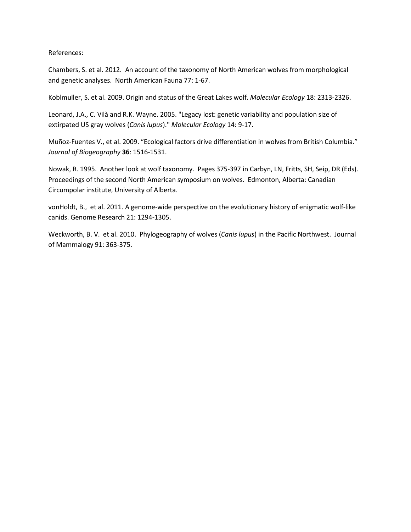References:

Chambers, S. et al. 2012. An account of the taxonomy of North American wolves from morphological and genetic analyses. North American Fauna 77: 1-67.

Koblmuller, S. et al. 2009. Origin and status of the Great Lakes wolf. *Molecular Ecology* 18: 2313-2326.

Leonard, J.A., C. Vilà and R.K. Wayne. 2005. "Legacy lost: genetic variability and population size of extirpated US gray wolves (*Canis lupus*)." *Molecular Ecology* 14: 9-17.

Muñoz-Fuentes V., et al. 2009. "Ecological factors drive differentiation in wolves from British Columbia." *Journal of Biogeography* **36**: 1516-1531.

Nowak, R. 1995. Another look at wolf taxonomy. Pages 375-397 in Carbyn, LN, Fritts, SH, Seip, DR (Eds). Proceedings of the second North American symposium on wolves. Edmonton, Alberta: Canadian Circumpolar institute, University of Alberta.

vonHoldt, B., et al. 2011. A genome-wide perspective on the evolutionary history of enigmatic wolf-like canids. Genome Research 21: 1294-1305.

Weckworth, B. V. et al. 2010. Phylogeography of wolves (*Canis lupus*) in the Pacific Northwest. Journal of Mammalogy 91: 363-375.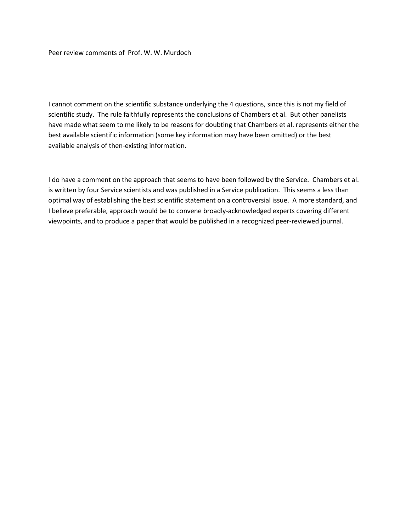Peer review comments of Prof. W. W. Murdoch

I cannot comment on the scientific substance underlying the 4 questions, since this is not my field of scientific study. The rule faithfully represents the conclusions of Chambers et al. But other panelists have made what seem to me likely to be reasons for doubting that Chambers et al. represents either the best available scientific information (some key information may have been omitted) or the best available analysis of then-existing information.

I do have a comment on the approach that seems to have been followed by the Service. Chambers et al. is written by four Service scientists and was published in a Service publication. This seems a less than optimal way of establishing the best scientific statement on a controversial issue. A more standard, and I believe preferable, approach would be to convene broadly-acknowledged experts covering different viewpoints, and to produce a paper that would be published in a recognized peer-reviewed journal.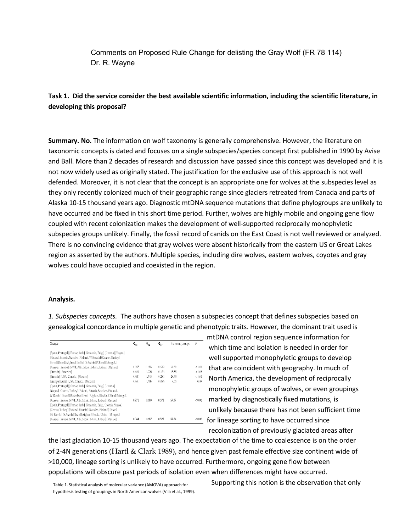Comments on Proposed Rule Change for delisting the Gray Wolf (FR 78 114) Dr. R. Wayne

# **Task 1. Did the service consider the best available scientific information, including the scientific literature, in developing this proposal?**

**Summary. No.** The information on wolf taxonomy is generally comprehensive. However, the literature on taxonomic concepts is dated and focuses on a single subspecies/species concept first published in 1990 by Avise and Ball. More than 2 decades of research and discussion have passed since this concept was developed and it is not now widely used as originally stated. The justification for the exclusive use of this approach is not well defended. Moreover, it is not clear that the concept is an appropriate one for wolves at the subspecies level as they only recently colonized much of their geographic range since glaciers retreated from Canada and parts of Alaska 10-15 thousand years ago. Diagnostic mtDNA sequence mutations that define phylogroups are unlikely to have occurred and be fixed in this short time period. Further, wolves are highly mobile and ongoing gene flow coupled with recent colonization makes the development of well-supported reciprocally monophyletic subspecies groups unlikely. Finally, the fossil record of canids on the East Coast is not well reviewed or analyzed. There is no convincing evidence that gray wolves were absent historically from the eastern US or Great Lakes region as asserted by the authors. Multiple species, including dire wolves, eastern wolves, coyotes and gray wolves could have occupied and coexisted in the region.

### **Analysis.**

*1. Subspecies concepts.* The authors have chosen a subspecies concept that defines subspecies based on genealogical concordance in multiple genetic and phenotypic traits. However, the dominant trait used is

| Groups                                                                  | $\Phi^{\rm dc}$ | $\Phi_{\rm ST}$ | $\Phi_{\rm CT}$ | % among groups | P            |
|-------------------------------------------------------------------------|-----------------|-----------------|-----------------|----------------|--------------|
| [Spain, Portugal] [France, Italy] [Romania, Bulg.] [Croatia] [Yugos.]   |                 |                 |                 |                |              |
| [Poland, Estonia, Sweden, Finland, W Russia] [Greece, Turkey]           |                 |                 |                 |                |              |
| [Israel] [Iran] [Afghan.] [India] [S Arabia] [China] [Mongol.]          |                 |                 |                 |                |              |
| [Alaska] [Yukon] [NWT, Alb., Mont., Minn., Labra.] [Mexico]             | 0.185           | 0.689           | 0.619           | 61.89          | < 0.01       |
| [Eurasia] [America]                                                     | 0.661           | 0.724           | 0.186           | 18.55          | < 0.05       |
| [Eurasia] [USA, Canada] [Mexico]                                        | 0.650           | 0.749           | 0.284           | 28.38          | < 0.01       |
| [Europe] [Asia] [USA, Canada] [Mexico]                                  | (1.66)          | 0.689           | 0.086           | 8.55           | 0.09         |
| [Spain, Portugal] [France, Italy] [Romania, Bulg.] [Croatia]            |                 |                 |                 |                |              |
| [Yugos.] [Greece, Turkey] [Poland, Estonia, Sweden, Finland,            |                 |                 |                 |                |              |
| W Russia] [Israel] [S Arabia] [Iran] [Afghan.] [India, China] [Mongol.] |                 |                 |                 |                |              |
| [Alaska] [Yukon, NWT, Alb., Mont., Minn., Labra,] [Mexico]              | 0.271           | 0.689           | 0.573           | 57.27          | ${}_{<0.01}$ |
| [Spain, Portugal] [France, Italy] [Romania, Bulg., Croatia, Yugos.]     |                 |                 |                 |                |              |
| [Greece, Turkey] [Poland, Estonia] [Sweden, Finland] [Israel]           |                 |                 |                 |                |              |
| [W Russia] [S Arabia] [Iran] [Afghan.] [India, China] [Mongol.]         |                 |                 |                 |                |              |
| [Alaska] [Yukon, NWT, Alb., Mont., Minn., Labra,] [Mexico]              | 0.344           | 0.687           | 0.523           | 52.34          | < 0.01       |

 mtDNA control region sequence information for which time and isolation is needed in order for well supported monophyletic groups to develop that are coincident with geography. In much of North America, the development of reciprocally monophyletic groups of wolves, or even groupings marked by diagnostically fixed mutations, is unlikely because there has not been sufficient time for lineage sorting to have occurred since recolonization of previously glaciated areas after

the last glaciation 10-15 thousand years ago. The expectation of the time to coalescence is on the order of 2-4N generations (Hartl & Clark 1989), and hence given past female effective size continent wide of >10,000, lineage sorting is unlikely to have occurred. Furthermore, ongoing gene flow between populations will obscure past periods of isolation even when differences might have occurred.

Supporting this notion is the observation that only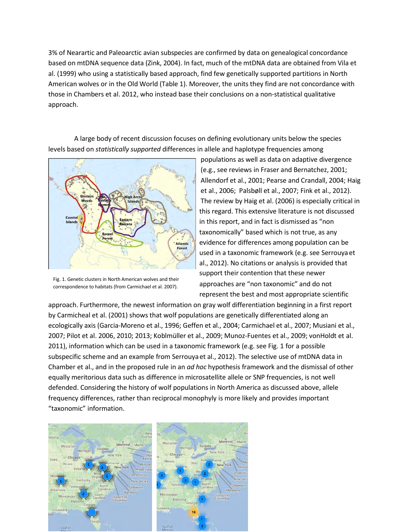3% of Nearartic and Paleoarctic avian subspecies are confirmed by data on genealogical concordance based on mtDNA sequence data (Zink, 2004). In fact, much of the mtDNA data are obtained from Vila et al. (1999) who using a statistically based approach, find few genetically supported partitions in North American wolves or in the Old World (Table 1). Moreover, the units they find are not concordance with those in Chambers et al. 2012, who instead base their conclusions on a non-statistical qualitative approach.

A large body of recent discussion focuses on defining evolutionary units below the species levels based on *statistically supported* differences in allele and haplotype frequencies among



Fig. 1. Genetic clusters in North American wolves and their

populations as well as data on adaptive divergence (e.g., see reviews in Fraser and Bernatchez, 2001; Allendorf et al., 2001; Pearse and Crandall, 2004; Haig et al., 2006; Palsbøll et al., 2007; Fink et al., 2012). The review by Haig et al. (2006) is especially critical in this regard. This extensive literature is not discussed in this report, and in fact is dismissed as "non taxonomically" based which is not true, as any evidence for differences among population can be used in a taxonomic framework (e.g. see Serrouya et al., 2012). No citations or analysis is provided that support their contention that these newer correspondence to habitats (from Carmichael et al. 2007). approaches are "non taxonomic" and do not represent the best and most appropriate scientific

approach. Furthermore, the newest information on gray wolf differentiation beginning in a first report by Carmicheal et al. (2001) shows that wolf populations are genetically differentiated along an ecologically axis (Garcia-Moreno et al., 1996; Geffen et al., 2004; Carmichael et al., 2007; Musiani et al., 2007; Pilot et al. 2006, 2010; 2013; Koblmüller et al., 2009; Munoz-Fuentes et al., 2009; vonHoldt et al. 2011), information which can be used in a taxonomic framework (e.g. see Fig. 1 for a possible subspecific scheme and an example from Serrouya et al., 2012). The selective use of mtDNA data in Chamber et al., and in the proposed rule in an *ad hoc* hypothesis framework and the dismissal of other equally meritorious data such as difference in microsatellite allele or SNP frequencies, is not well defended. Considering the history of wolf populations in North America as discussed above, allele frequency differences, rather than reciprocal monophyly is more likely and provides important "taxonomic" information.

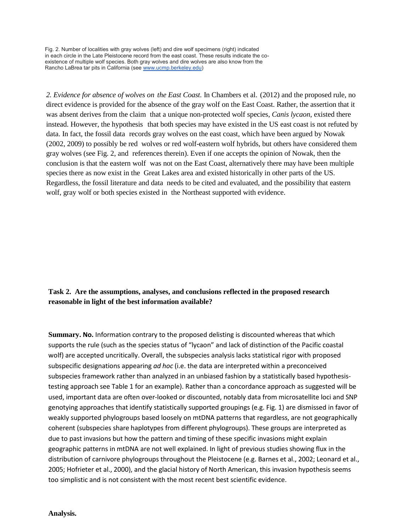Fig. 2. Number of localities with gray wolves (left) and dire wolf specimens (right) indicated in each circle in the Late Pleistocene record from the east coast. These results indicate the coexistence of multiple wolf species. Both gray wolves and dire wolves are also know from the Rancho LaBrea tar pits in California (see [www.ucmp.berkeley.edu\)](http://www.ucmp.berkeley.edu/)

*2. Evidence for absence of wolves on the East Coast.* In Chambers et al. (2012) and the proposed rule, no direct evidence is provided for the absence of the gray wolf on the East Coast. Rather, the assertion that it was absent derives from the claim that a unique non-protected wolf species, *Canis lycaon*, existed there instead. However, the hypothesis that both species may have existed in the US east coast is not refuted by data. In fact, the fossil data records gray wolves on the east coast, which have been argued by Nowak (2002, 2009) to possibly be red wolves or red wolf-eastern wolf hybrids, but others have considered them gray wolves (see Fig. 2, and references therein). Even if one accepts the opinion of Nowak, then the conclusion is that the eastern wolf was not on the East Coast, alternatively there may have been multiple species there as now exist in the Great Lakes area and existed historically in other parts of the US. Regardless, the fossil literature and data needs to be cited and evaluated, and the possibility that eastern wolf, gray wolf or both species existed in the Northeast supported with evidence.

# **Task 2. Are the assumptions, analyses, and conclusions reflected in the proposed research reasonable in light of the best information available?**

**Summary. No.** Information contrary to the proposed delisting is discounted whereas that which supports the rule (such as the species status of "lycaon" and lack of distinction of the Pacific coastal wolf) are accepted uncritically. Overall, the subspecies analysis lacks statistical rigor with proposed subspecific designations appearing *ad hoc* (i.e. the data are interpreted within a preconceived subspecies framework rather than analyzed in an unbiased fashion by a statistically based hypothesistesting approach see Table 1 for an example). Rather than a concordance approach as suggested will be used, important data are often over-looked or discounted, notably data from microsatellite loci and SNP genotying approaches that identify statistically supported groupings (e.g. Fig. 1) are dismissed in favor of weakly supported phylogroups based loosely on mtDNA patterns that regardless, are not geographically coherent (subspecies share haplotypes from different phylogroups). These groups are interpreted as due to past invasions but how the pattern and timing of these specific invasions might explain geographic patterns in mtDNA are not well explained. In light of previous studies showing flux in the distribution of carnivore phylogroups throughout the Pleistocene (e.g. Barnes et al., 2002; Leonard et al., 2005; Hofrieter et al., 2000), and the glacial history of North American, this invasion hypothesis seems too simplistic and is not consistent with the most recent best scientific evidence.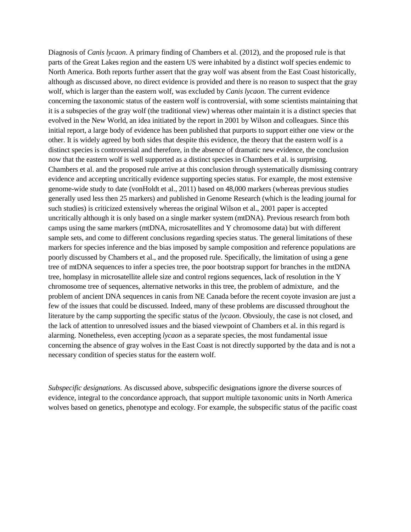Diagnosis of *Canis lycaon*. A primary finding of Chambers et al. (2012), and the proposed rule is that parts of the Great Lakes region and the eastern US were inhabited by a distinct wolf species endemic to North America. Both reports further assert that the gray wolf was absent from the East Coast historically, although as discussed above, no direct evidence is provided and there is no reason to suspect that the gray wolf, which is larger than the eastern wolf, was excluded by *Canis lycaon*. The current evidence concerning the taxonomic status of the eastern wolf is controversial, with some scientists maintaining that it is a subspecies of the gray wolf (the traditional view) whereas other maintain it is a distinct species that evolved in the New World, an idea initiated by the report in 2001 by Wilson and colleagues. Since this initial report, a large body of evidence has been published that purports to support either one view or the other. It is widely agreed by both sides that despite this evidence, the theory that the eastern wolf is a distinct species is controversial and therefore, in the absence of dramatic new evidence, the conclusion now that the eastern wolf is well supported as a distinct species in Chambers et al. is surprising. Chambers et al. and the proposed rule arrive at this conclusion through systematically dismissing contrary evidence and accepting uncritically evidence supporting species status. For example, the most extensive genome-wide study to date (vonHoldt et al., 2011) based on 48,000 markers (whereas previous studies generally used less then 25 markers) and published in Genome Research (which is the leading journal for such studies) is criticized extensively whereas the original Wilson et al., 2001 paper is accepted uncritically although it is only based on a single marker system (mtDNA). Previous research from both camps using the same markers (mtDNA, microsatellites and Y chromosome data) but with different sample sets, and come to different conclusions regarding species status. The general limitations of these markers for species inference and the bias imposed by sample composition and reference populations are poorly discussed by Chambers et al., and the proposed rule. Specifically, the limitation of using a gene tree of mtDNA sequences to infer a species tree, the poor bootstrap support for branches in the mtDNA tree, homplasy in microsatellite allele size and control regions sequences, lack of resolution in the Y chromosome tree of sequences, alternative networks in this tree, the problem of admixture, and the problem of ancient DNA sequences in canis from NE Canada before the recent coyote invasion are just a few of the issues that could be discussed. Indeed, many of these problems are discussed throughout the literature by the camp supporting the specific status of the *lycaon*. Obvsiouly, the case is not closed, and the lack of attention to unresolved issues and the biased viewpoint of Chambers et al. in this regard is alarming. Nonetheless, even accepting *lycaon* as a separate species, the most fundamental issue concerning the absence of gray wolves in the East Coast is not directly supported by the data and is not a necessary condition of species status for the eastern wolf.

*Subspecific designations.* As discussed above, subspecific designations ignore the diverse sources of evidence, integral to the concordance approach, that support multiple taxonomic units in North America wolves based on genetics, phenotype and ecology. For example, the subspecific status of the pacific coast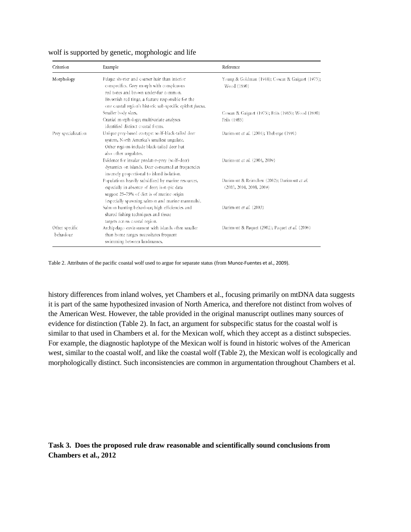| Criterion                   | Example                                                                                                                                                                                                                                                 | Reference                                                               |  |
|-----------------------------|---------------------------------------------------------------------------------------------------------------------------------------------------------------------------------------------------------------------------------------------------------|-------------------------------------------------------------------------|--|
| Morphology                  | Pelage: shorter and coarser hair than interior<br>conspecifics. Grey morph with conspicuous<br>red tones and brown under-fur common.<br>Brownish red tinge, a feature responsible for the<br>one coastal region's historic sub-specific epithet fuscus. | Young & Goldman (1944); Cowan & Guiguet (1975);<br>Wood (1990)          |  |
|                             | Smaller body sizes.                                                                                                                                                                                                                                     | Cowan & Guiguet (1975); Friis (1985); Wood (1990)                       |  |
|                             | Cranial morphology; multivariate analyses<br>identified distinct coastal forms.                                                                                                                                                                         | Friis (1985)                                                            |  |
| Prey specialization         | Unique prey-based ecotype: wolf-black-tailed deer<br>system, North America's smallest ungulate.<br>Other regions include black-tailed deer but<br>also other ungulates.                                                                                 | Darimont et al. (2004); Theberge (1991)                                 |  |
|                             | Evidence for insular predator-prey (wolf-deer)<br>dynamics on islands. Deer consumed at frequencies<br>inversely proportional to island isolation.                                                                                                      | Darimont et al. (2004, 2009)                                            |  |
|                             | Populations heavily subsidized by marine resources,<br>especially in absence of deer; isotopic data<br>suggest 25–75% of diet is of marine origin<br>(especially spawning salmon and marine mammals).                                                   | Darimont & Reimchen (2002); Darimont et al.<br>(2003, 2004, 2008, 2009) |  |
|                             | Salmon hunting behaviour; high efficiencies and<br>shared fishing techniques and tissue<br>targets across coastal region.                                                                                                                               | Darimont et al. (2003)                                                  |  |
| Other specific<br>behaviour | Archipelago environment with islands often smaller<br>than home ranges necessitates frequent<br>swimming between landmasses.                                                                                                                            | Darimont & Paquet (2002); Paquet et al. (2006)                          |  |

#### wolf is supported by genetic, morphologic and life

Table 2. Attributes of the pacific coastal wolf used to argue for separate status (from Munoz-Fuentes et al., 2009).

history differences from inland wolves, yet Chambers et al., focusing primarily on mtDNA data suggests it is part of the same hypothesized invasion of North America, and therefore not distinct from wolves of the American West. However, the table provided in the original manuscript outlines many sources of evidence for distinction (Table 2). In fact, an argument for subspecific status for the coastal wolf is similar to that used in Chambers et al. for the Mexican wolf, which they accept as a distinct subspecies. For example, the diagnostic haplotype of the Mexican wolf is found in historic wolves of the American west, similar to the coastal wolf, and like the coastal wolf (Table 2), the Mexican wolf is ecologically and morphologically distinct. Such inconsistencies are common in argumentation throughout Chambers et al.

**Task 3. Does the proposed rule draw reasonable and scientifically sound conclusions from Chambers et al., 2012**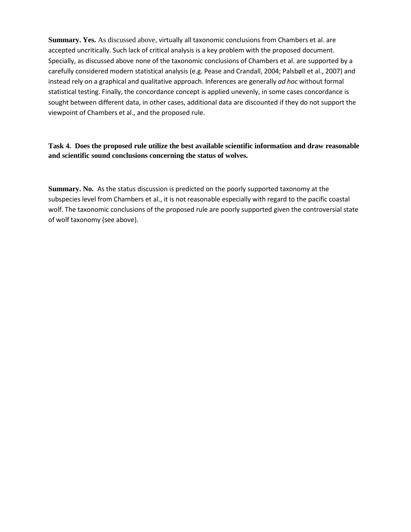**Summary. Yes.** As discussed above, virtually all taxonomic conclusions from Chambers et al. are accepted uncritically. Such lack of critical analysis is a key problem with the proposed document. Specially, as discussed above none of the taxonomic conclusions of Chambers et al. are supported by a carefully considered modern statistical analysis (e.g. Pease and Crandall, 2004; Palsbøll et al., 2007) and instead rely on a graphical and qualitative approach. Inferences are generally *ad hoc* without formal statistical testing. Finally, the concordance concept is applied unevenly, in some cases concordance is sought between different data, in other cases, additional data are discounted if they do not support the viewpoint of Chambers et al., and the proposed rule.

# **Task 4. Does the proposed rule utilize the best available scientific information and draw reasonable and scientific sound conclusions concerning the status of wolves.**

**Summary. No.** As the status discussion is predicted on the poorly supported taxonomy at the subspecies level from Chambers et al., it is not reasonable especially with regard to the pacific coastal wolf. The taxonomic conclusions of the proposed rule are poorly supported given the controversial state of wolf taxonomy (see above).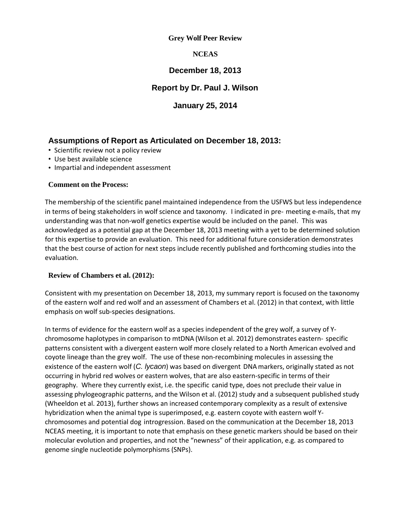# **Grey Wolf Peer Review**

# **NCEAS**

# **December 18, 2013**

# **Report by Dr. Paul J. Wilson**

# **January 25, 2014**

# **Assumptions of Report as Articulated on December 18, 2013:**

- Scientific review not a policy review
- Use best available science
- Impartial and independent assessment

# **Comment on the Process:**

The membership of the scientific panel maintained independence from the USFWS but less independence in terms of being stakeholders in wolf science and taxonomy. I indicated in pre- meeting e-mails, that my understanding was that non-wolf genetics expertise would be included on the panel. This was acknowledged as a potential gap at the December 18, 2013 meeting with a yet to be determined solution for this expertise to provide an evaluation. This need for additional future consideration demonstrates that the best course of action for next steps include recently published and forthcoming studies into the evaluation.

# **Review of Chambers et al. (2012):**

Consistent with my presentation on December 18, 2013, my summary report is focused on the taxonomy of the eastern wolf and red wolf and an assessment of Chambers et al. (2012) in that context, with little emphasis on wolf sub-species designations.

In terms of evidence for the eastern wolf as a species independent of the grey wolf, a survey of Ychromosome haplotypes in comparison to mtDNA (Wilson et al. 2012) demonstrates eastern- specific patterns consistent with a divergent eastern wolf more closely related to a North American evolved and coyote lineage than the grey wolf. The use of these non-recombining molecules in assessing the existence of the eastern wolf (*C. lycaon*) was based on divergent DNA markers, originally stated as not occurring in hybrid red wolves or eastern wolves, that are also eastern-specific in terms of their geography. Where they currently exist, i.e. the specific canid type, does not preclude their value in assessing phylogeographic patterns, and the Wilson et al. (2012) study and a subsequent published study (Wheeldon et al. 2013), further shows an increased contemporary complexity as a result of extensive hybridization when the animal type is superimposed, e.g. eastern coyote with eastern wolf Ychromosomes and potential dog introgression. Based on the communication at the December 18, 2013 NCEAS meeting, it is important to note that emphasis on these genetic markers should be based on their molecular evolution and properties, and not the "newness" of their application, e.g. as compared to genome single nucleotide polymorphisms (SNPs).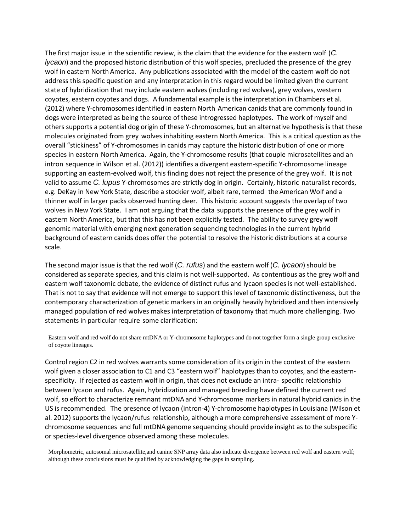The first major issue in the scientific review, is the claim that the evidence for the eastern wolf (*C. lycaon*) and the proposed historic distribution of this wolf species, precluded the presence of the grey wolf in eastern North America. Any publications associated with the model of the eastern wolf do not address this specific question and any interpretation in this regard would be limited given the current state of hybridization that may include eastern wolves (including red wolves), grey wolves, western coyotes, eastern coyotes and dogs. A fundamental example is the interpretation in Chambers et al. (2012) where Y-chromosomes identified in eastern North American canids that are commonly found in dogs were interpreted as being the source of these introgressed haplotypes. The work of myself and others supports a potential dog origin of these Y-chromosomes, but an alternative hypothesis is that these molecules originated from grey wolves inhabiting eastern North America. This is a critical question as the overall "stickiness" of Y-chromosomes in canids may capture the historic distribution of one or more species in eastern North America. Again, the Y-chromosome results (that couple microsatellites and an intron sequence in Wilson et al. (2012)) identifies a divergent eastern-specific Y-chromosome lineage supporting an eastern-evolved wolf, this finding does not reject the presence of the grey wolf. It is not valid to assume *C. lupus* Y-chromosomes are strictly dog in origin. Certainly, historic naturalist records, e.g. DeKay in New York State, describe a stockier wolf, albeit rare, termed the American Wolf and a thinner wolf in larger packs observed hunting deer. This historic account suggests the overlap of two wolves in New York State. I am not arguing that the data supports the presence of the grey wolf in eastern North America, but that this has not been explicitly tested. The ability to survey grey wolf genomic material with emerging next generation sequencing technologies in the current hybrid background of eastern canids does offer the potential to resolve the historic distributions at a course scale.

The second major issue is that the red wolf (*C. rufus*) and the eastern wolf (*C. lycaon*) should be considered as separate species, and this claim is not well-supported. As contentious as the grey wolf and eastern wolf taxonomic debate, the evidence of distinct rufus and lycaon species is not well-established. That is not to say that evidence will not emerge to support this level of taxonomic distinctiveness, but the contemporary characterization of genetic markers in an originally heavily hybridized and then intensively managed population of red wolves makes interpretation of taxonomy that much more challenging. Two statements in particular require some clarification:

Eastern wolf and red wolf do not share mtDNA or Y-chromosome haplotypes and do not together form a single group exclusive of coyote lineages.

Control region C2 in red wolves warrants some consideration of its origin in the context of the eastern wolf given a closer association to C1 and C3 "eastern wolf" haplotypes than to coyotes, and the easternspecificity. If rejected as eastern wolf in origin, that does not exclude an intra- specific relationship between lycaon and rufus. Again, hybridization and managed breeding have defined the current red wolf, so effort to characterize remnant mtDNA and Y-chromosome markers in natural hybrid canids in the US is recommended. The presence of lycaon (intron-4) Y-chromosome haplotypes in Louisiana (Wilson et al. 2012) supports the lycaon/rufus relationship, although a more comprehensive assessment of more Ychromosome sequences and full mtDNA genome sequencing should provide insight as to the subspecific or species-level divergence observed among these molecules.

Morphometric, autosomal microsatellite,and canine SNP array data also indicate divergence between red wolf and eastern wolf; although these conclusions must be qualified by acknowledging the gaps in sampling.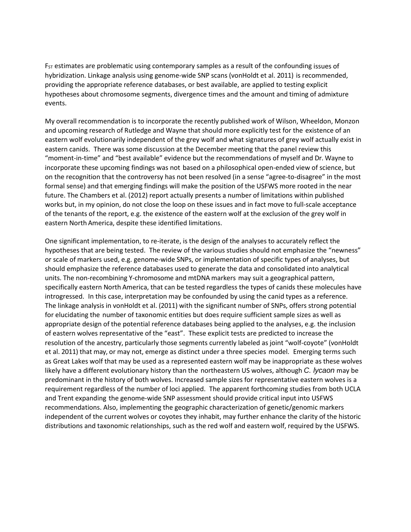$F_{ST}$  estimates are problematic using contemporary samples as a result of the confounding issues of hybridization. Linkage analysis using genome-wide SNP scans (vonHoldt et al. 2011) is recommended, providing the appropriate reference databases, or best available, are applied to testing explicit hypotheses about chromosome segments, divergence times and the amount and timing of admixture events.

My overall recommendation is to incorporate the recently published work of Wilson, Wheeldon, Monzon and upcoming research of Rutledge and Wayne that should more explicitly test for the existence of an eastern wolf evolutionarily independent of the grey wolf and what signatures of grey wolf actually exist in eastern canids. There was some discussion at the December meeting that the panel review this "moment-in-time" and "best available" evidence but the recommendations of myself and Dr. Wayne to incorporate these upcoming findings was not based on a philosophical open-ended view of science, but on the recognition that the controversy has not been resolved (in a sense "agree-to-disagree" in the most formal sense) and that emerging findings will make the position of the USFWS more rooted in the near future. The Chambers et al. (2012) report actually presents a number of limitations within published works but, in my opinion, do not close the loop on these issues and in fact move to full-scale acceptance of the tenants of the report, e.g. the existence of the eastern wolf at the exclusion of the grey wolf in eastern North America, despite these identified limitations.

One significant implementation, to re-iterate, is the design of the analyses to accurately reflect the hypotheses that are being tested. The review of the various studies should not emphasize the "newness" or scale of markers used, e.g. genome-wide SNPs, or implementation of specific types of analyses, but should emphasize the reference databases used to generate the data and consolidated into analytical units. The non-recombining Y-chromosome and mtDNA markers may suit a geographical pattern, specifically eastern North America, that can be tested regardless the types of canids these molecules have introgressed. In this case, interpretation may be confounded by using the canid types as a reference. The linkage analysis in vonHoldt et al. (2011) with the significant number of SNPs, offers strong potential for elucidating the number of taxonomic entities but does require sufficient sample sizes as well as appropriate design of the potential reference databases being applied to the analyses, e.g. the inclusion of eastern wolves representative of the "east". These explicit tests are predicted to increase the resolution of the ancestry, particularly those segments currently labeled as joint "wolf-coyote" (vonHoldt et al. 2011) that may, or may not, emerge as distinct under a three species model. Emerging terms such as Great Lakes wolf that may be used as a represented eastern wolf may be inappropriate as these wolves likely have a different evolutionary history than the northeastern US wolves, although *C. lycaon* may be predominant in the history of both wolves. Increased sample sizes for representative eastern wolves is a requirement regardless of the number of loci applied. The apparent forthcoming studies from both UCLA and Trent expanding the genome-wide SNP assessment should provide critical input into USFWS recommendations. Also, implementing the geographic characterization of genetic/genomic markers independent of the current wolves or coyotes they inhabit, may further enhance the clarity of the historic distributions and taxonomic relationships, such as the red wolf and eastern wolf, required by the USFWS.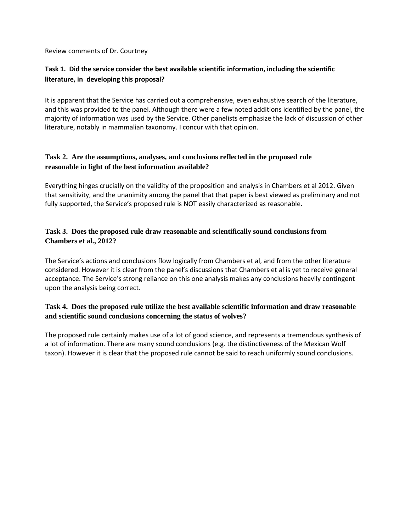Review comments of Dr. Courtney

# **Task 1. Did the service consider the best available scientific information, including the scientific literature, in developing this proposal?**

It is apparent that the Service has carried out a comprehensive, even exhaustive search of the literature, and this was provided to the panel. Although there were a few noted additions identified by the panel, the majority of information was used by the Service. Other panelists emphasize the lack of discussion of other literature, notably in mammalian taxonomy. I concur with that opinion.

# **Task 2. Are the assumptions, analyses, and conclusions reflected in the proposed rule reasonable in light of the best information available?**

Everything hinges crucially on the validity of the proposition and analysis in Chambers et al 2012. Given that sensitivity, and the unanimity among the panel that that paper is best viewed as preliminary and not fully supported, the Service's proposed rule is NOT easily characterized as reasonable.

# **Task 3. Does the proposed rule draw reasonable and scientifically sound conclusions from Chambers et al., 2012?**

The Service's actions and conclusions flow logically from Chambers et al, and from the other literature considered. However it is clear from the panel's discussions that Chambers et al is yet to receive general acceptance. The Service's strong reliance on this one analysis makes any conclusions heavily contingent upon the analysis being correct.

# **Task 4. Does the proposed rule utilize the best available scientific information and draw reasonable and scientific sound conclusions concerning the status of wolves?**

The proposed rule certainly makes use of a lot of good science, and represents a tremendous synthesis of a lot of information. There are many sound conclusions (e.g. the distinctiveness of the Mexican Wolf taxon). However it is clear that the proposed rule cannot be said to reach uniformly sound conclusions.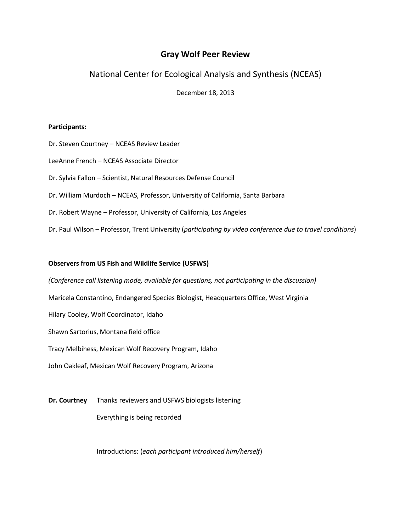# **Gray Wolf Peer Review**

National Center for Ecological Analysis and Synthesis (NCEAS)

December 18, 2013

### **Participants:**

Dr. Steven Courtney – NCEAS Review Leader

LeeAnne French – NCEAS Associate Director

Dr. Sylvia Fallon – Scientist, Natural Resources Defense Council

Dr. William Murdoch – NCEAS, Professor, University of California, Santa Barbara

Dr. Robert Wayne – Professor, University of California, Los Angeles

Dr. Paul Wilson – Professor, Trent University (*participating by video conference due to travel conditions*)

### **Observers from US Fish and Wildlife Service (USFWS)**

*(Conference call listening mode, available for questions, not participating in the discussion)* 

Maricela Constantino, Endangered Species Biologist, Headquarters Office, West Virginia

Hilary Cooley, Wolf Coordinator, Idaho

Shawn Sartorius, Montana field office

Tracy Melbihess, Mexican Wolf Recovery Program, Idaho

John Oakleaf, Mexican Wolf Recovery Program, Arizona

**Dr. Courtney** Thanks reviewers and USFWS biologists listening

Everything is being recorded

Introductions: (*each participant introduced him/herself*)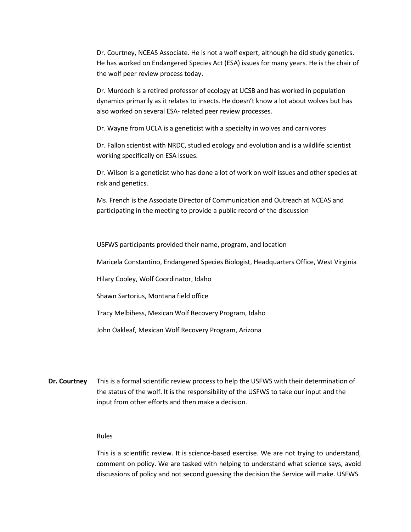Dr. Courtney, NCEAS Associate. He is not a wolf expert, although he did study genetics. He has worked on Endangered Species Act (ESA) issues for many years. He is the chair of the wolf peer review process today.

Dr. Murdoch is a retired professor of ecology at UCSB and has worked in population dynamics primarily as it relates to insects. He doesn't know a lot about wolves but has also worked on several ESA- related peer review processes.

Dr. Wayne from UCLA is a geneticist with a specialty in wolves and carnivores

Dr. Fallon scientist with NRDC, studied ecology and evolution and is a wildlife scientist working specifically on ESA issues.

Dr. Wilson is a geneticist who has done a lot of work on wolf issues and other species at risk and genetics.

Ms. French is the Associate Director of Communication and Outreach at NCEAS and participating in the meeting to provide a public record of the discussion

USFWS participants provided their name, program, and location

Maricela Constantino, Endangered Species Biologist, Headquarters Office, West Virginia

Hilary Cooley, Wolf Coordinator, Idaho

Shawn Sartorius, Montana field office

Tracy Melbihess, Mexican Wolf Recovery Program, Idaho

John Oakleaf, Mexican Wolf Recovery Program, Arizona

**Dr. Courtney** This is a formal scientific review process to help the USFWS with their determination of the status of the wolf. It is the responsibility of the USFWS to take our input and the input from other efforts and then make a decision.

### Rules

This is a scientific review. It is science-based exercise. We are not trying to understand, comment on policy. We are tasked with helping to understand what science says, avoid discussions of policy and not second guessing the decision the Service will make. USFWS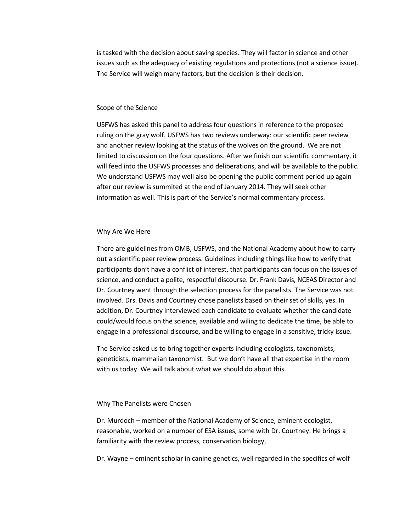is tasked with the decision about saving species. They will factor in science and other issues such as the adequacy of existing regulations and protections (not a science issue). The Service will weigh many factors, but the decision is their decision.

#### Scope of the Science

USFWS has asked this panel to address four questions in reference to the proposed ruling on the gray wolf. USFWS has two reviews underway: our scientific peer review and another review looking at the status of the wolves on the ground. We are not limited to discussion on the four questions. After we finish our scientific commentary, it will feed into the USFWS processes and deliberations, and will be available to the public. We understand USFWS may well also be opening the public comment period up again after our review is summited at the end of January 2014. They will seek other information as well. This is part of the Service's normal commentary process.

#### Why Are We Here

There are guidelines from OMB, USFWS, and the National Academy about how to carry out a scientific peer review process. Guidelines including things like how to verify that participants don't have a conflict of interest, that participants can focus on the issues of science, and conduct a polite, respectful discourse. Dr. Frank Davis, NCEAS Director and Dr. Courtney went through the selection process for the panelists. The Service was not involved. Drs. Davis and Courtney chose panelists based on their set of skills, yes. In addition, Dr. Courtney interviewed each candidate to evaluate whether the candidate could/would focus on the science, available and wiling to dedicate the time, be able to engage in a professional discourse, and be willing to engage in a sensitive, tricky issue.

The Service asked us to bring together experts including ecologists, taxonomists, geneticists, mammalian taxonomist. But we don't have all that expertise in the room with us today. We will talk about what we should do about this.

#### Why The Panelists were Chosen

Dr. Murdoch – member of the National Academy of Science, eminent ecologist, reasonable, worked on a number of ESA issues, some with Dr. Courtney. He brings a familiarity with the review process, conservation biology,

Dr. Wayne – eminent scholar in canine genetics, well regarded in the specifics of wolf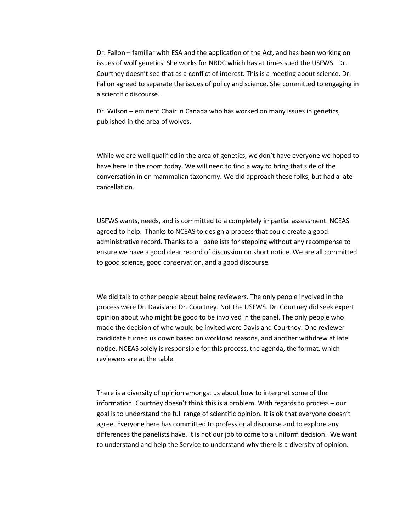Dr. Fallon – familiar with ESA and the application of the Act, and has been working on issues of wolf genetics. She works for NRDC which has at times sued the USFWS. Dr. Courtney doesn't see that as a conflict of interest. This is a meeting about science. Dr. Fallon agreed to separate the issues of policy and science. She committed to engaging in a scientific discourse.

Dr. Wilson – eminent Chair in Canada who has worked on many issues in genetics, published in the area of wolves.

While we are well qualified in the area of genetics, we don't have everyone we hoped to have here in the room today. We will need to find a way to bring that side of the conversation in on mammalian taxonomy. We did approach these folks, but had a late cancellation.

USFWS wants, needs, and is committed to a completely impartial assessment. NCEAS agreed to help. Thanks to NCEAS to design a process that could create a good administrative record. Thanks to all panelists for stepping without any recompense to ensure we have a good clear record of discussion on short notice. We are all committed to good science, good conservation, and a good discourse.

We did talk to other people about being reviewers. The only people involved in the process were Dr. Davis and Dr. Courtney. Not the USFWS. Dr. Courtney did seek expert opinion about who might be good to be involved in the panel. The only people who made the decision of who would be invited were Davis and Courtney. One reviewer candidate turned us down based on workload reasons, and another withdrew at late notice. NCEAS solely is responsible for this process, the agenda, the format, which reviewers are at the table.

There is a diversity of opinion amongst us about how to interpret some of the information. Courtney doesn't think this is a problem. With regards to process – our goal is to understand the full range of scientific opinion. It is ok that everyone doesn't agree. Everyone here has committed to professional discourse and to explore any differences the panelists have. It is not our job to come to a uniform decision. We want to understand and help the Service to understand why there is a diversity of opinion.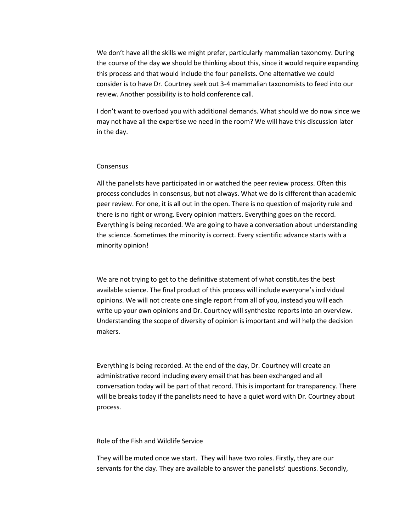We don't have all the skills we might prefer, particularly mammalian taxonomy. During the course of the day we should be thinking about this, since it would require expanding this process and that would include the four panelists. One alternative we could consider is to have Dr. Courtney seek out 3-4 mammalian taxonomists to feed into our review. Another possibility is to hold conference call.

I don't want to overload you with additional demands. What should we do now since we may not have all the expertise we need in the room? We will have this discussion later in the day.

#### **Consensus**

All the panelists have participated in or watched the peer review process. Often this process concludes in consensus, but not always. What we do is different than academic peer review. For one, it is all out in the open. There is no question of majority rule and there is no right or wrong. Every opinion matters. Everything goes on the record. Everything is being recorded. We are going to have a conversation about understanding the science. Sometimes the minority is correct. Every scientific advance starts with a minority opinion!

We are not trying to get to the definitive statement of what constitutes the best available science. The final product of this process will include everyone's individual opinions. We will not create one single report from all of you, instead you will each write up your own opinions and Dr. Courtney will synthesize reports into an overview. Understanding the scope of diversity of opinion is important and will help the decision makers.

Everything is being recorded. At the end of the day, Dr. Courtney will create an administrative record including every email that has been exchanged and all conversation today will be part of that record. This is important for transparency. There will be breaks today if the panelists need to have a quiet word with Dr. Courtney about process.

### Role of the Fish and Wildlife Service

They will be muted once we start. They will have two roles. Firstly, they are our servants for the day. They are available to answer the panelists' questions. Secondly,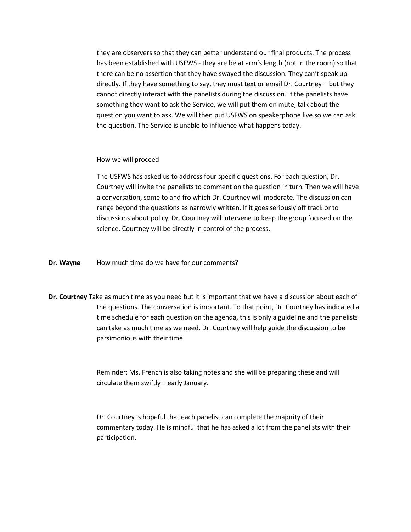they are observers so that they can better understand our final products. The process has been established with USFWS - they are be at arm's length (not in the room) so that there can be no assertion that they have swayed the discussion. They can't speak up directly. If they have something to say, they must text or email Dr. Courtney – but they cannot directly interact with the panelists during the discussion. If the panelists have something they want to ask the Service, we will put them on mute, talk about the question you want to ask. We will then put USFWS on speakerphone live so we can ask the question. The Service is unable to influence what happens today.

How we will proceed

The USFWS has asked us to address four specific questions. For each question, Dr. Courtney will invite the panelists to comment on the question in turn. Then we will have a conversation, some to and fro which Dr. Courtney will moderate. The discussion can range beyond the questions as narrowly written. If it goes seriously off track or to discussions about policy, Dr. Courtney will intervene to keep the group focused on the science. Courtney will be directly in control of the process.

**Dr. Wayne** How much time do we have for our comments?

**Dr. Courtney** Take as much time as you need but it is important that we have a discussion about each of the questions. The conversation is important. To that point, Dr. Courtney has indicated a time schedule for each question on the agenda, this is only a guideline and the panelists can take as much time as we need. Dr. Courtney will help guide the discussion to be parsimonious with their time.

> Reminder: Ms. French is also taking notes and she will be preparing these and will circulate them swiftly – early January.

Dr. Courtney is hopeful that each panelist can complete the majority of their commentary today. He is mindful that he has asked a lot from the panelists with their participation.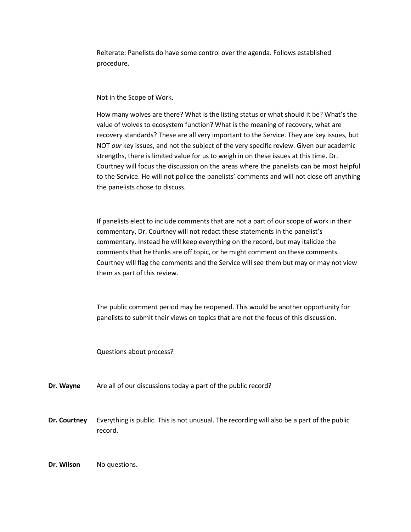Reiterate: Panelists do have some control over the agenda. Follows established procedure.

Not in the Scope of Work.

How many wolves are there? What is the listing status or what should it be? What's the value of wolves to ecosystem function? What is the meaning of recovery, what are recovery standards? These are all very important to the Service. They are key issues, but NOT *our* key issues, and not the subject of the very specific review. Given our academic strengths, there is limited value for us to weigh in on these issues at this time. Dr. Courtney will focus the discussion on the areas where the panelists can be most helpful to the Service. He will not police the panelists' comments and will not close off anything the panelists chose to discuss.

If panelists elect to include comments that are not a part of our scope of work in their commentary, Dr. Courtney will not redact these statements in the panelist's commentary. Instead he will keep everything on the record, but may italicize the comments that he thinks are off topic, or he might comment on these comments. Courtney will flag the comments and the Service will see them but may or may not view them as part of this review.

The public comment period may be reopened. This would be another opportunity for panelists to submit their views on topics that are not the focus of this discussion.

Questions about process?

**Dr. Wayne** Are all of our discussions today a part of the public record?

**Dr. Courtney** Everything is public. This is not unusual. The recording will also be a part of the public record.

**Dr. Wilson** No questions.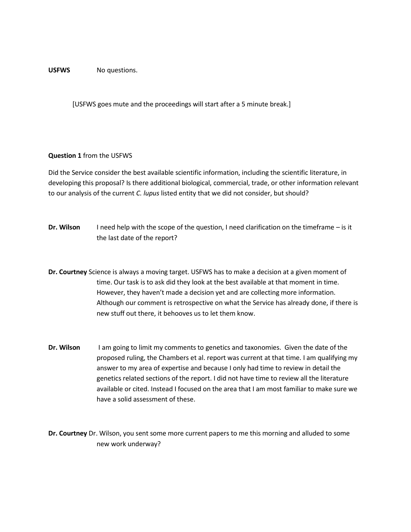### USFWS No questions.

[USFWS goes mute and the proceedings will start after a 5 minute break.]

### **Question 1** from the USFWS

Did the Service consider the best available scientific information, including the scientific literature, in developing this proposal? Is there additional biological, commercial, trade, or other information relevant to our analysis of the current *C. lupus* listed entity that we did not consider, but should?

- **Dr. Wilson** I need help with the scope of the question, I need clarification on the timeframe is it the last date of the report?
- **Dr. Courtney** Science is always a moving target. USFWS has to make a decision at a given moment of time. Our task is to ask did they look at the best available at that moment in time. However, they haven't made a decision yet and are collecting more information. Although our comment is retrospective on what the Service has already done, if there is new stuff out there, it behooves us to let them know.
- **Dr. Wilson** I am going to limit my comments to genetics and taxonomies. Given the date of the proposed ruling, the Chambers et al. report was current at that time. I am qualifying my answer to my area of expertise and because I only had time to review in detail the genetics related sections of the report. I did not have time to review all the literature available or cited. Instead I focused on the area that I am most familiar to make sure we have a solid assessment of these.
- **Dr. Courtney** Dr. Wilson, you sent some more current papers to me this morning and alluded to some new work underway?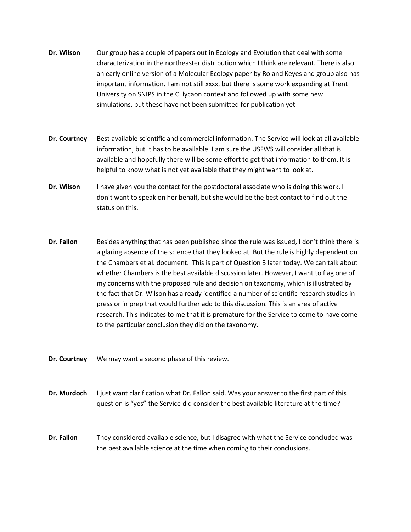- **Dr. Wilson** Our group has a couple of papers out in Ecology and Evolution that deal with some characterization in the northeaster distribution which I think are relevant. There is also an early online version of a Molecular Ecology paper by Roland Keyes and group also has important information. I am not still xxxx, but there is some work expanding at Trent University on SNIPS in the C. lycaon context and followed up with some new simulations, but these have not been submitted for publication yet
- **Dr. Courtney** Best available scientific and commercial information. The Service will look at all available information, but it has to be available. I am sure the USFWS will consider all that is available and hopefully there will be some effort to get that information to them. It is helpful to know what is not yet available that they might want to look at.
- **Dr. Wilson** I have given you the contact for the postdoctoral associate who is doing this work. I don't want to speak on her behalf, but she would be the best contact to find out the status on this.
- **Dr. Fallon** Besides anything that has been published since the rule was issued, I don't think there is a glaring absence of the science that they looked at. But the rule is highly dependent on the Chambers et al. document. This is part of Question 3 later today. We can talk about whether Chambers is the best available discussion later. However, I want to flag one of my concerns with the proposed rule and decision on taxonomy, which is illustrated by the fact that Dr. Wilson has already identified a number of scientific research studies in press or in prep that would further add to this discussion. This is an area of active research. This indicates to me that it is premature for the Service to come to have come to the particular conclusion they did on the taxonomy.

**Dr. Courtney** We may want a second phase of this review.

- **Dr. Murdoch** I just want clarification what Dr. Fallon said. Was your answer to the first part of this question is "yes" the Service did consider the best available literature at the time?
- **Dr. Fallon** They considered available science, but I disagree with what the Service concluded was the best available science at the time when coming to their conclusions.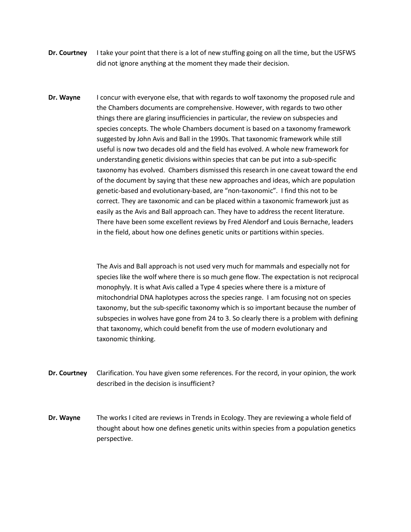- **Dr. Courtney** I take your point that there is a lot of new stuffing going on all the time, but the USFWS did not ignore anything at the moment they made their decision.
- **Dr. Wayne** I concur with everyone else, that with regards to wolf taxonomy the proposed rule and the Chambers documents are comprehensive. However, with regards to two other things there are glaring insufficiencies in particular, the review on subspecies and species concepts. The whole Chambers document is based on a taxonomy framework suggested by John Avis and Ball in the 1990s. That taxonomic framework while still useful is now two decades old and the field has evolved. A whole new framework for understanding genetic divisions within species that can be put into a sub-specific taxonomy has evolved. Chambers dismissed this research in one caveat toward the end of the document by saying that these new approaches and ideas, which are population genetic-based and evolutionary-based, are "non-taxonomic". I find this not to be correct. They are taxonomic and can be placed within a taxonomic framework just as easily as the Avis and Ball approach can. They have to address the recent literature. There have been some excellent reviews by Fred Alendorf and Louis Bernache, leaders in the field, about how one defines genetic units or partitions within species.

The Avis and Ball approach is not used very much for mammals and especially not for species like the wolf where there is so much gene flow. The expectation is not reciprocal monophyly. It is what Avis called a Type 4 species where there is a mixture of mitochondrial DNA haplotypes across the species range. I am focusing not on species taxonomy, but the sub-specific taxonomy which is so important because the number of subspecies in wolves have gone from 24 to 3. So clearly there is a problem with defining that taxonomy, which could benefit from the use of modern evolutionary and taxonomic thinking.

- **Dr. Courtney** Clarification. You have given some references. For the record, in your opinion, the work described in the decision is insufficient?
- **Dr. Wayne** The works I cited are reviews in Trends in Ecology. They are reviewing a whole field of thought about how one defines genetic units within species from a population genetics perspective.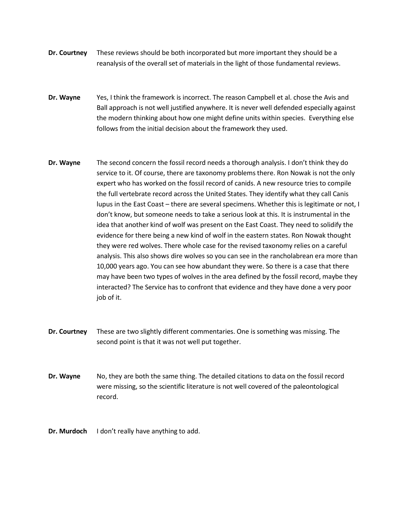- **Dr. Courtney** These reviews should be both incorporated but more important they should be a reanalysis of the overall set of materials in the light of those fundamental reviews.
- **Dr. Wayne** Yes, I think the framework is incorrect. The reason Campbell et al. chose the Avis and Ball approach is not well justified anywhere. It is never well defended especially against the modern thinking about how one might define units within species. Everything else follows from the initial decision about the framework they used.
- **Dr. Wayne** The second concern the fossil record needs a thorough analysis. I don't think they do service to it. Of course, there are taxonomy problems there. Ron Nowak is not the only expert who has worked on the fossil record of canids. A new resource tries to compile the full vertebrate record across the United States. They identify what they call Canis lupus in the East Coast – there are several specimens. Whether this is legitimate or not, I don't know, but someone needs to take a serious look at this. It is instrumental in the idea that another kind of wolf was present on the East Coast. They need to solidify the evidence for there being a new kind of wolf in the eastern states. Ron Nowak thought they were red wolves. There whole case for the revised taxonomy relies on a careful analysis. This also shows dire wolves so you can see in the rancholabrean era more than 10,000 years ago. You can see how abundant they were. So there is a case that there may have been two types of wolves in the area defined by the fossil record, maybe they interacted? The Service has to confront that evidence and they have done a very poor job of it.
- **Dr. Courtney** These are two slightly different commentaries. One is something was missing. The second point is that it was not well put together.
- **Dr. Wayne** No, they are both the same thing. The detailed citations to data on the fossil record were missing, so the scientific literature is not well covered of the paleontological record.
- **Dr. Murdoch** I don't really have anything to add.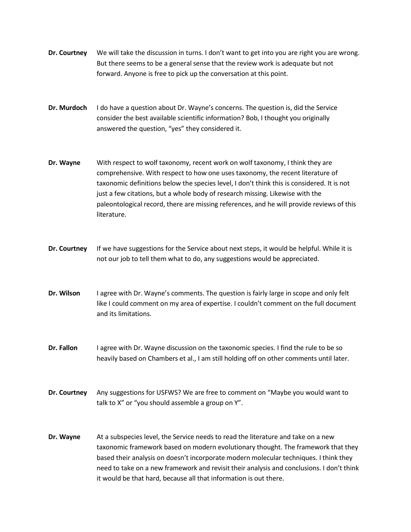- **Dr. Courtney** We will take the discussion in turns. I don't want to get into you are right you are wrong. But there seems to be a general sense that the review work is adequate but not forward. Anyone is free to pick up the conversation at this point.
- **Dr. Murdoch** I do have a question about Dr. Wayne's concerns. The question is, did the Service consider the best available scientific information? Bob, I thought you originally answered the question, "yes" they considered it.
- **Dr. Wayne** With respect to wolf taxonomy, recent work on wolf taxonomy, I think they are comprehensive. With respect to how one uses taxonomy, the recent literature of taxonomic definitions below the species level, I don't think this is considered. It is not just a few citations, but a whole body of research missing. Likewise with the paleontological record, there are missing references, and he will provide reviews of this literature.
- **Dr. Courtney** If we have suggestions for the Service about next steps, it would be helpful. While it is not our job to tell them what to do, any suggestions would be appreciated.
- **Dr. Wilson** I agree with Dr. Wayne's comments. The question is fairly large in scope and only felt like I could comment on my area of expertise. I couldn't comment on the full document and its limitations.
- **Dr. Fallon** I agree with Dr. Wayne discussion on the taxonomic species. I find the rule to be so heavily based on Chambers et al., I am still holding off on other comments until later.
- **Dr. Courtney** Any suggestions for USFWS? We are free to comment on "Maybe you would want to talk to X" or "you should assemble a group on Y".
- **Dr. Wayne** At a subspecies level, the Service needs to read the literature and take on a new taxonomic framework based on modern evolutionary thought. The framework that they based their analysis on doesn't incorporate modern molecular techniques. I think they need to take on a new framework and revisit their analysis and conclusions. I don't think it would be that hard, because all that information is out there.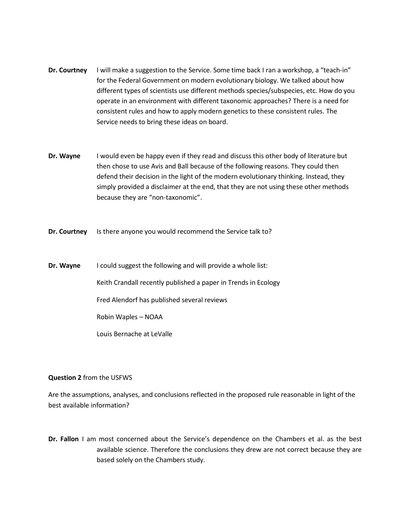- **Dr. Courtney** I will make a suggestion to the Service. Some time back I ran a workshop, a "teach-in" for the Federal Government on modern evolutionary biology. We talked about how different types of scientists use different methods species/subspecies, etc. How do you operate in an environment with different taxonomic approaches? There is a need for consistent rules and how to apply modern genetics to these consistent rules. The Service needs to bring these ideas on board.
- **Dr. Wayne** I would even be happy even if they read and discuss this other body of literature but then chose to use Avis and Ball because of the following reasons. They could then defend their decision in the light of the modern evolutionary thinking. Instead, they simply provided a disclaimer at the end, that they are not using these other methods because they are "non-taxonomic".
- **Dr. Courtney** Is there anyone you would recommend the Service talk to?
- **Dr. Wayne** I could suggest the following and will provide a whole list: Keith Crandall recently published a paper in Trends in Ecology Fred Alendorf has published several reviews Robin Waples – NOAA Louis Bernache at LeValle

### **Question 2** from the USFWS

Are the assumptions, analyses, and conclusions reflected in the proposed rule reasonable in light of the best available information?

**Dr. Fallon** I am most concerned about the Service's dependence on the Chambers et al. as the best available science. Therefore the conclusions they drew are not correct because they are based solely on the Chambers study.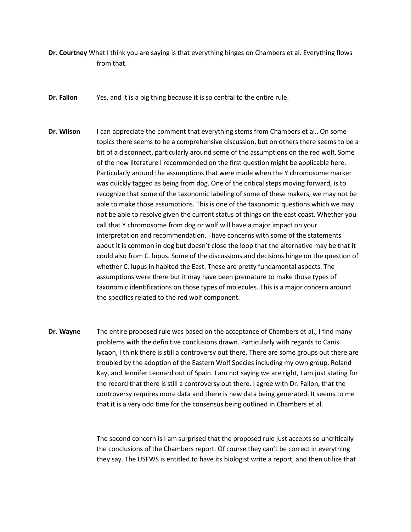- **Dr. Courtney** What I think you are saying is that everything hinges on Chambers et al. Everything flows from that.
- **Dr. Fallon** Yes, and it is a big thing because it is so central to the entire rule.
- **Dr. Wilson** I can appreciate the comment that everything stems from Chambers et al.. On some topics there seems to be a comprehensive discussion, but on others there seems to be a bit of a disconnect, particularly around some of the assumptions on the red wolf. Some of the new literature I recommended on the first question might be applicable here. Particularly around the assumptions that were made when the Y chromosome marker was quickly tagged as being from dog. One of the critical steps moving forward, is to recognize that some of the taxonomic labeling of some of these makers, we may not be able to make those assumptions. This is one of the taxonomic questions which we may not be able to resolve given the current status of things on the east coast. Whether you call that Y chromosome from dog or wolf will have a major impact on your interpretation and recommendation. I have concerns with some of the statements about it is common in dog but doesn't close the loop that the alternative may be that it could also from C. lupus. Some of the discussions and decisions hinge on the question of whether C. lupus in habited the East. These are pretty fundamental aspects. The assumptions were there but it may have been premature to make those types of taxonomic identifications on those types of molecules. This is a major concern around the specifics related to the red wolf component.
- **Dr. Wayne** The entire proposed rule was based on the acceptance of Chambers et al., I find many problems with the definitive conclusions drawn. Particularly with regards to Canis lycaon, I think there is still a controversy out there. There are some groups out there are troubled by the adoption of the Eastern Wolf Species including my own group, Roland Kay, and Jennifer Leonard out of Spain. I am not saying we are right, I am just stating for the record that there is still a controversy out there. I agree with Dr. Fallon, that the controversy requires more data and there is new data being generated. It seems to me that it is a very odd time for the consensus being outlined in Chambers et al.

The second concern is I am surprised that the proposed rule just accepts so uncritically the conclusions of the Chambers report. Of course they can't be correct in everything they say. The USFWS is entitled to have its biologist write a report, and then utilize that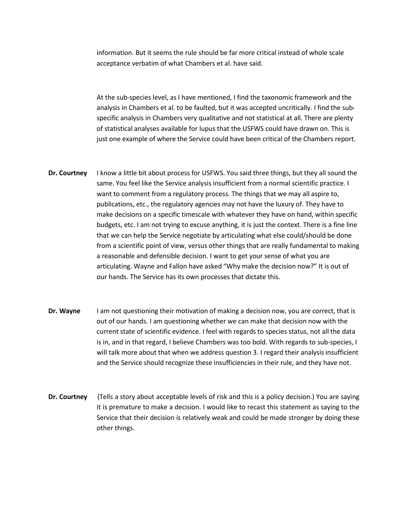information. But it seems the rule should be far more critical instead of whole scale acceptance verbatim of what Chambers et al. have said.

At the sub-species level, as I have mentioned, I find the taxonomic framework and the analysis in Chambers et al. to be faulted, but it was accepted uncritically. I find the subspecific analysis in Chambers very qualitative and not statistical at all. There are plenty of statistical analyses available for lupus that the USFWS could have drawn on. This is just one example of where the Service could have been critical of the Chambers report.

- **Dr. Courtney** I know a little bit about process for USFWS. You said three things, but they all sound the same. You feel like the Service analysis insufficient from a normal scientific practice. I want to comment from a regulatory process. The things that we may all aspire to, publications, etc., the regulatory agencies may not have the luxury of. They have to make decisions on a specific timescale with whatever they have on hand, within specific budgets, etc. I am not trying to excuse anything, it is just the context. There is a fine line that we can help the Service negotiate by articulating what else could/should be done from a scientific point of view, versus other things that are really fundamental to making a reasonable and defensible decision. I want to get your sense of what you are articulating. Wayne and Fallon have asked "Why make the decision now?" It is out of our hands. The Service has its own processes that dictate this.
- **Dr. Wayne** I am not questioning their motivation of making a decision now, you are correct, that is out of our hands. I am questioning whether we can make that decision now with the current state of scientific evidence. I feel with regards to species status, not all the data is in, and in that regard, I believe Chambers was too bold. With regards to sub-species, I will talk more about that when we address question 3. I regard their analysis insufficient and the Service should recognize these insufficiencies in their rule, and they have not.
- **Dr. Courtney** (Tells a story about acceptable levels of risk and this is a policy decision.) You are saying it is premature to make a decision. I would like to recast this statement as saying to the Service that their decision is relatively weak and could be made stronger by doing these other things.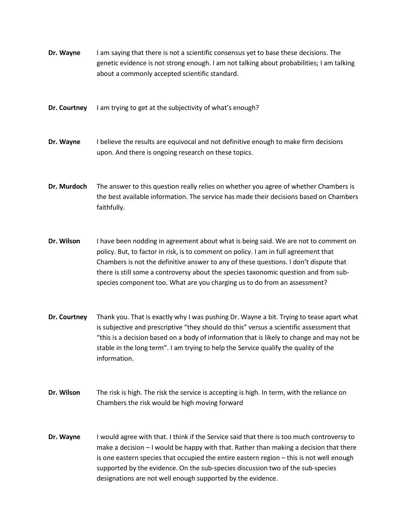**Dr. Wayne** I am saying that there is not a scientific consensus yet to base these decisions. The genetic evidence is not strong enough. I am not talking about probabilities; I am talking about a commonly accepted scientific standard.

**Dr. Courtney** I am trying to get at the subjectivity of what's enough?

**Dr. Wayne** I believe the results are equivocal and not definitive enough to make firm decisions upon. And there is ongoing research on these topics.

**Dr. Murdoch** The answer to this question really relies on whether you agree of whether Chambers is the best available information. The service has made their decisions based on Chambers faithfully.

**Dr. Wilson** I have been nodding in agreement about what is being said. We are not to comment on policy. But, to factor in risk, is to comment on policy. I am in full agreement that Chambers is not the definitive answer to any of these questions. I don't dispute that there is still some a controversy about the species taxonomic question and from subspecies component too. What are you charging us to do from an assessment?

**Dr. Courtney** Thank you. That is exactly why I was pushing Dr. Wayne a bit. Trying to tease apart what is subjective and prescriptive "they should do this" versus a scientific assessment that "this is a decision based on a body of information that is likely to change and may not be stable in the long term". I am trying to help the Service qualify the quality of the information.

**Dr. Wilson** The risk is high. The risk the service is accepting is high. In term, with the reliance on Chambers the risk would be high moving forward

**Dr. Wayne** I would agree with that. I think if the Service said that there is too much controversy to make a decision – I would be happy with that. Rather than making a decision that there is one eastern species that occupied the entire eastern region – this is not well enough supported by the evidence. On the sub-species discussion two of the sub-species designations are not well enough supported by the evidence.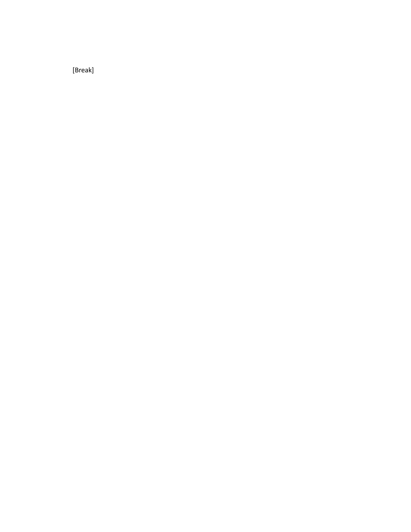[Break]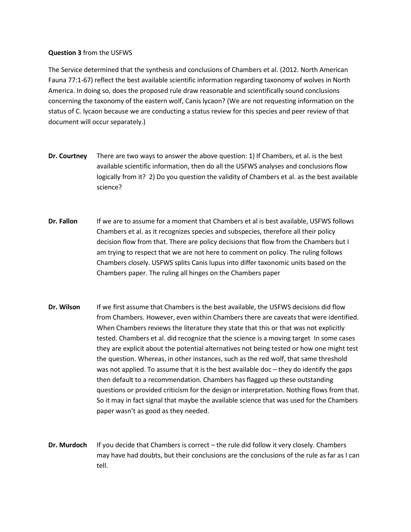### **Question 3** from the USFWS

The Service determined that the synthesis and conclusions of Chambers et al. (2012. North American Fauna 77:1-67) reflect the best available scientific information regarding taxonomy of wolves in North America. In doing so, does the proposed rule draw reasonable and scientifically sound conclusions concerning the taxonomy of the eastern wolf, Canis lycaon? (We are not requesting information on the status of C. lycaon because we are conducting a status review for this species and peer review of that document will occur separately.)

- **Dr. Courtney** There are two ways to answer the above question: 1) If Chambers, et al. is the best available scientific information, then do all the USFWS analyses and conclusions flow logically from it? 2) Do you question the validity of Chambers et al. as the best available science?
- **Dr. Fallon** If we are to assume for a moment that Chambers et al is best available, USFWS follows Chambers et al. as it recognizes species and subspecies, therefore all their policy decision flow from that. There are policy decisions that flow from the Chambers but I am trying to respect that we are not here to comment on policy. The ruling follows Chambers closely. USFWS splits Canis lupus into differ taxonomic units based on the Chambers paper. The ruling all hinges on the Chambers paper
- **Dr. Wilson** If we first assume that Chambers is the best available, the USFWS decisions did flow from Chambers. However, even within Chambers there are caveats that were identified. When Chambers reviews the literature they state that this or that was not explicitly tested. Chambers et al. did recognize that the science is a moving target In some cases they are explicit about the potential alternatives not being tested or how one might test the question. Whereas, in other instances, such as the red wolf, that same threshold was not applied. To assume that it is the best available doc – they do identify the gaps then default to a recommendation. Chambers has flagged up these outstanding questions or provided criticism for the design or interpretation. Nothing flows from that. So it may in fact signal that maybe the available science that was used for the Chambers paper wasn't as good as they needed.
- **Dr. Murdoch** If you decide that Chambers is correct the rule did follow it very closely. Chambers may have had doubts, but their conclusions are the conclusions of the rule as far as I can tell.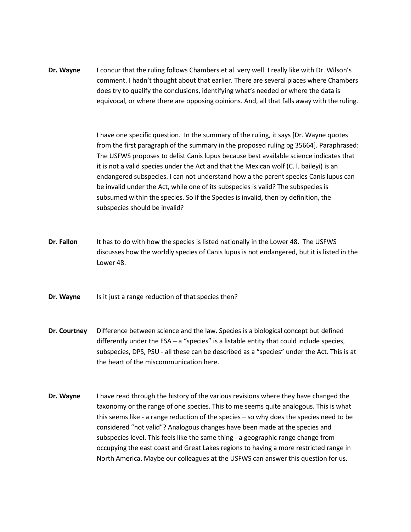**Dr. Wayne** I concur that the ruling follows Chambers et al. very well. I really like with Dr. Wilson's comment. I hadn't thought about that earlier. There are several places where Chambers does try to qualify the conclusions, identifying what's needed or where the data is equivocal, or where there are opposing opinions. And, all that falls away with the ruling.

> I have one specific question. In the summary of the ruling, it says [Dr. Wayne quotes from the first paragraph of the summary in the proposed ruling pg 35664]. Paraphrased: The USFWS proposes to delist Canis lupus because best available science indicates that it is not a valid species under the Act and that the Mexican wolf (C. l. baileyi) is an endangered subspecies. I can not understand how a the parent species Canis lupus can be invalid under the Act, while one of its subspecies is valid? The subspecies is subsumed within the species. So if the Species is invalid, then by definition, the subspecies should be invalid?

- **Dr. Fallon** It has to do with how the species is listed nationally in the Lower 48. The USFWS discusses how the worldly species of Canis lupus is not endangered, but it is listed in the Lower 48.
- **Dr. Wayne** Is it just a range reduction of that species then?
- **Dr. Courtney** Difference between science and the law. Species is a biological concept but defined differently under the ESA – a "species" is a listable entity that could include species, subspecies, DPS, PSU - all these can be described as a "species" under the Act. This is at the heart of the miscommunication here.
- **Dr. Wayne** I have read through the history of the various revisions where they have changed the taxonomy or the range of one species. This to me seems quite analogous. This is what this seems like - a range reduction of the species – so why does the species need to be considered "not valid"? Analogous changes have been made at the species and subspecies level. This feels like the same thing - a geographic range change from occupying the east coast and Great Lakes regions to having a more restricted range in North America. Maybe our colleagues at the USFWS can answer this question for us.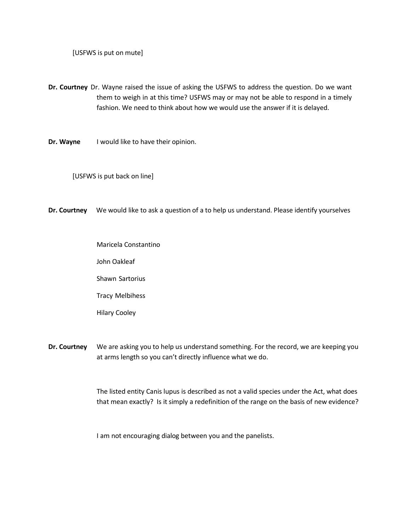[USFWS is put on mute]

- **Dr. Courtney** Dr. Wayne raised the issue of asking the USFWS to address the question. Do we want them to weigh in at this time? USFWS may or may not be able to respond in a timely fashion. We need to think about how we would use the answer if it is delayed.
- **Dr. Wayne** I would like to have their opinion.

[USFWS is put back on line]

**Dr. Courtney** We would like to ask a question of a to help us understand. Please identify yourselves

Maricela Constantino John Oakleaf Shawn Sartorius Tracy Melbihess Hilary Cooley

**Dr. Courtney** We are asking you to help us understand something. For the record, we are keeping you at arms length so you can't directly influence what we do.

> The listed entity Canis lupus is described as not a valid species under the Act, what does that mean exactly? Is it simply a redefinition of the range on the basis of new evidence?

I am not encouraging dialog between you and the panelists.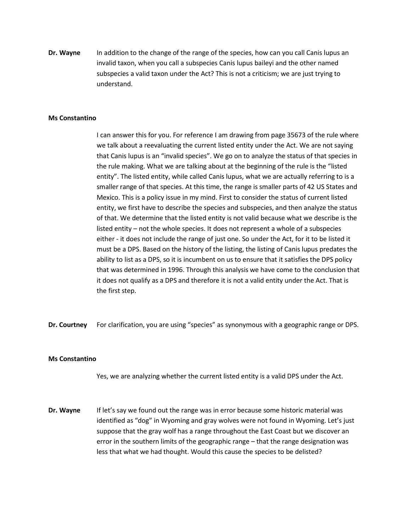**Dr. Wayne** In addition to the change of the range of the species, how can you call Canis lupus an invalid taxon, when you call a subspecies Canis lupus baileyi and the other named subspecies a valid taxon under the Act? This is not a criticism; we are just trying to understand.

### **Ms Constantino**

I can answer this for you. For reference I am drawing from page 35673 of the rule where we talk about a reevaluating the current listed entity under the Act. We are not saying that Canis lupus is an "invalid species". We go on to analyze the status of that species in the rule making. What we are talking about at the beginning of the rule is the "listed entity". The listed entity, while called Canis lupus, what we are actually referring to is a smaller range of that species. At this time, the range is smaller parts of 42 US States and Mexico. This is a policy issue in my mind. First to consider the status of current listed entity, we first have to describe the species and subspecies, and then analyze the status of that. We determine that the listed entity is not valid because what we describe is the listed entity – not the whole species. It does not represent a whole of a subspecies either - it does not include the range of just one. So under the Act, for it to be listed it must be a DPS. Based on the history of the listing, the listing of Canis lupus predates the ability to list as a DPS, so it is incumbent on us to ensure that it satisfies the DPS policy that was determined in 1996. Through this analysis we have come to the conclusion that it does not qualify as a DPS and therefore it is not a valid entity under the Act. That is the first step.

**Dr. Courtney** For clarification, you are using "species" as synonymous with a geographic range or DPS.

#### **Ms Constantino**

Yes, we are analyzing whether the current listed entity is a valid DPS under the Act.

**Dr. Wayne** If let's say we found out the range was in error because some historic material was identified as "dog" in Wyoming and gray wolves were not found in Wyoming. Let's just suppose that the gray wolf has a range throughout the East Coast but we discover an error in the southern limits of the geographic range – that the range designation was less that what we had thought. Would this cause the species to be delisted?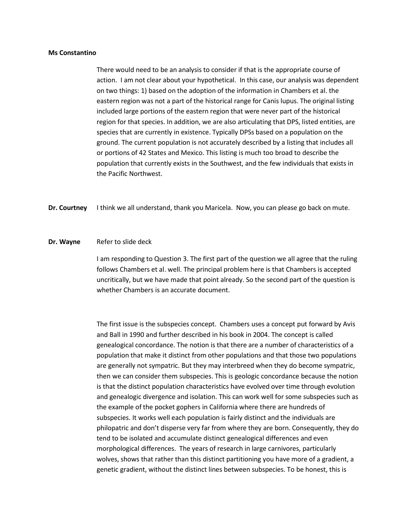#### **Ms Constantino**

There would need to be an analysis to consider if that is the appropriate course of action. I am not clear about your hypothetical. In this case, our analysis was dependent on two things: 1) based on the adoption of the information in Chambers et al. the eastern region was not a part of the historical range for Canis lupus. The original listing included large portions of the eastern region that were never part of the historical region for that species. In addition, we are also articulating that DPS, listed entities, are species that are currently in existence. Typically DPSs based on a population on the ground. The current population is not accurately described by a listing that includes all or portions of 42 States and Mexico. This listing is much too broad to describe the population that currently exists in the Southwest, and the few individuals that exists in the Pacific Northwest.

**Dr. Courtney** I think we all understand, thank you Maricela. Now, you can please go back on mute.

### **Dr. Wayne** Refer to slide deck

I am responding to Question 3. The first part of the question we all agree that the ruling follows Chambers et al. well. The principal problem here is that Chambers is accepted uncritically, but we have made that point already. So the second part of the question is whether Chambers is an accurate document.

The first issue is the subspecies concept. Chambers uses a concept put forward by Avis and Ball in 1990 and further described in his book in 2004. The concept is called genealogical concordance. The notion is that there are a number of characteristics of a population that make it distinct from other populations and that those two populations are generally not sympatric. But they may interbreed when they do become sympatric, then we can consider them subspecies. This is geologic concordance because the notion is that the distinct population characteristics have evolved over time through evolution and genealogic divergence and isolation. This can work well for some subspecies such as the example of the pocket gophers in California where there are hundreds of subspecies. It works well each population is fairly distinct and the individuals are philopatric and don't disperse very far from where they are born. Consequently, they do tend to be isolated and accumulate distinct genealogical differences and even morphological differences. The years of research in large carnivores, particularly wolves, shows that rather than this distinct partitioning you have more of a gradient, a genetic gradient, without the distinct lines between subspecies. To be honest, this is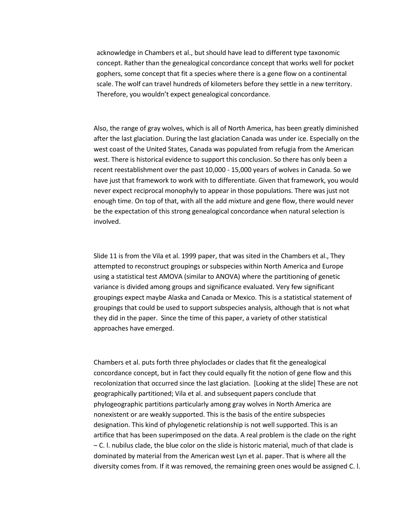acknowledge in Chambers et al., but should have lead to different type taxonomic concept. Rather than the genealogical concordance concept that works well for pocket gophers, some concept that fit a species where there is a gene flow on a continental scale. The wolf can travel hundreds of kilometers before they settle in a new territory. Therefore, you wouldn't expect genealogical concordance.

Also, the range of gray wolves, which is all of North America, has been greatly diminished after the last glaciation. During the last glaciation Canada was under ice. Especially on the west coast of the United States, Canada was populated from refugia from the American west. There is historical evidence to support this conclusion. So there has only been a recent reestablishment over the past 10,000 - 15,000 years of wolves in Canada. So we have just that framework to work with to differentiate. Given that framework, you would never expect reciprocal monophyly to appear in those populations. There was just not enough time. On top of that, with all the add mixture and gene flow, there would never be the expectation of this strong genealogical concordance when natural selection is involved.

Slide 11 is from the Vila et al. 1999 paper, that was sited in the Chambers et al., They attempted to reconstruct groupings or subspecies within North America and Europe using a statistical test AMOVA (similar to ANOVA) where the partitioning of genetic variance is divided among groups and significance evaluated. Very few significant groupings expect maybe Alaska and Canada or Mexico. This is a statistical statement of groupings that could be used to support subspecies analysis, although that is not what they did in the paper. Since the time of this paper, a variety of other statistical approaches have emerged.

Chambers et al. puts forth three phyloclades or clades that fit the genealogical concordance concept, but in fact they could equally fit the notion of gene flow and this recolonization that occurred since the last glaciation. [Looking at the slide] These are not geographically partitioned; Vila et al. and subsequent papers conclude that phylogeographic partitions particularly among gray wolves in North America are nonexistent or are weakly supported. This is the basis of the entire subspecies designation. This kind of phylogenetic relationship is not well supported. This is an artifice that has been superimposed on the data. A real problem is the clade on the right – C. l. nubilus clade, the blue color on the slide is historic material, much of that clade is dominated by material from the American west Lyn et al. paper. That is where all the diversity comes from. If it was removed, the remaining green ones would be assigned C. l.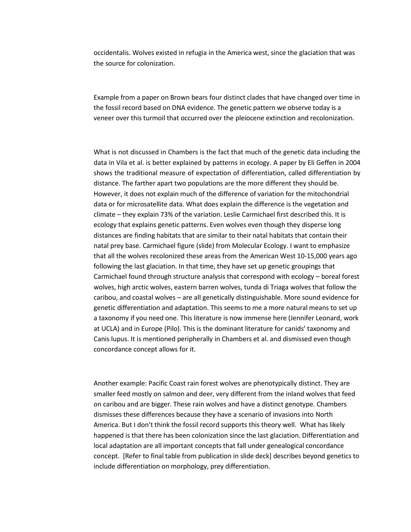occidentalis. Wolves existed in refugia in the America west, since the glaciation that was the source for colonization.

Example from a paper on Brown bears four distinct clades that have changed over time in the fossil record based on DNA evidence. The genetic pattern we observe today is a veneer over this turmoil that occurred over the pleiocene extinction and recolonization.

What is not discussed in Chambers is the fact that much of the genetic data including the data in Vila et al. is better explained by patterns in ecology. A paper by Eli Geffen in 2004 shows the traditional measure of expectation of differentiation, called differentiation by distance. The farther apart two populations are the more different they should be. However, it does not explain much of the difference of variation for the mitochondrial data or for microsatellite data. What does explain the difference is the vegetation and climate – they explain 73% of the variation. Leslie Carmichael first described this. It is ecology that explains genetic patterns. Even wolves even though they disperse long distances are finding habitats that are similar to their natal habitats that contain their natal prey base. Carmichael figure (slide) from Molecular Ecology. I want to emphasize that all the wolves recolonized these areas from the American West 10-15,000 years ago following the last glaciation. In that time, they have set up genetic groupings that Carmichael found through structure analysis that correspond with ecology – boreal forest wolves, high arctic wolves, eastern barren wolves, tunda di Triaga wolves that follow the caribou, and coastal wolves – are all genetically distinguishable. More sound evidence for genetic differentiation and adaptation. This seems to me a more natural means to set up a taxonomy if you need one. This literature is now immense here (Jennifer Leonard, work at UCLA) and in Europe (Pilo). This is the dominant literature for canids' taxonomy and Canis lupus. It is mentioned peripherally in Chambers et al. and dismissed even though concordance concept allows for it.

Another example: Pacific Coast rain forest wolves are phenotypically distinct. They are smaller feed mostly on salmon and deer, very different from the inland wolves that feed on caribou and are bigger. These rain wolves and have a distinct genotype. Chambers dismisses these differences because they have a scenario of invasions into North America. But I don't think the fossil record supports this theory well. What has likely happened is that there has been colonization since the last glaciation. Differentiation and local adaptation are all important concepts that fall under genealogical concordance concept. [Refer to final table from publication in slide deck] describes beyond genetics to include differentiation on morphology, prey differentiation.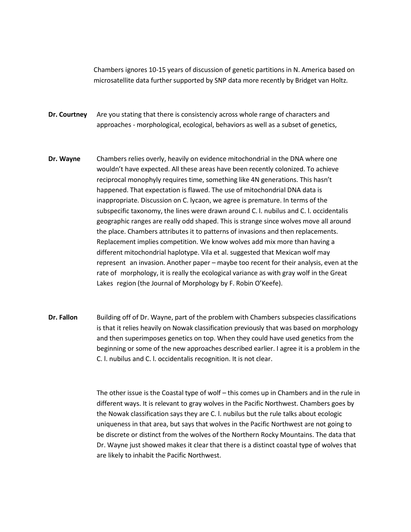Chambers ignores 10-15 years of discussion of genetic partitions in N. America based on microsatellite data further supported by SNP data more recently by Bridget van Holtz.

- **Dr. Courtney** Are you stating that there is consistenciy across whole range of characters and approaches - morphological, ecological, behaviors as well as a subset of genetics,
- **Dr. Wayne** Chambers relies overly, heavily on evidence mitochondrial in the DNA where one wouldn't have expected. All these areas have been recently colonized. To achieve reciprocal monophyly requires time, something like 4N generations. This hasn't happened. That expectation is flawed. The use of mitochondrial DNA data is inappropriate. Discussion on C. lycaon, we agree is premature. In terms of the subspecific taxonomy, the lines were drawn around C. l. nubilus and C. l. occidentalis geographic ranges are really odd shaped. This is strange since wolves move all around the place. Chambers attributes it to patterns of invasions and then replacements. Replacement implies competition. We know wolves add mix more than having a different mitochondrial haplotype. Vila et al. suggested that Mexican wolf may represent an invasion. Another paper – maybe too recent for their analysis, even at the rate of morphology, it is really the ecological variance as with gray wolf in the Great Lakes region (the Journal of Morphology by F. Robin O'Keefe).
- **Dr. Fallon** Building off of Dr. Wayne, part of the problem with Chambers subspecies classifications is that it relies heavily on Nowak classification previously that was based on morphology and then superimposes genetics on top. When they could have used genetics from the beginning or some of the new approaches described earlier. I agree it is a problem in the C. l. nubilus and C. l. occidentalis recognition. It is not clear.

The other issue is the Coastal type of wolf – this comes up in Chambers and in the rule in different ways. It is relevant to gray wolves in the Pacific Northwest. Chambers goes by the Nowak classification says they are C. l. nubilus but the rule talks about ecologic uniqueness in that area, but says that wolves in the Pacific Northwest are not going to be discrete or distinct from the wolves of the Northern Rocky Mountains. The data that Dr. Wayne just showed makes it clear that there is a distinct coastal type of wolves that are likely to inhabit the Pacific Northwest.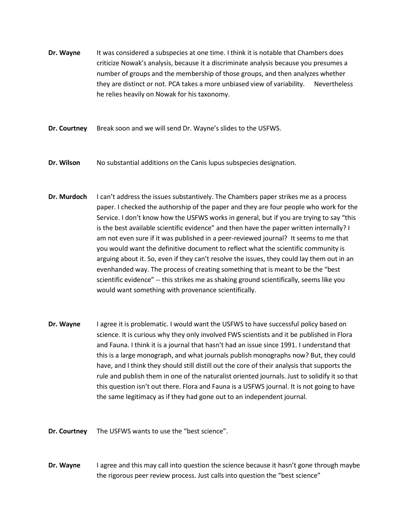- **Dr. Wayne** It was considered a subspecies at one time. I think it is notable that Chambers does criticize Nowak's analysis, because it a discriminate analysis because you presumes a number of groups and the membership of those groups, and then analyzes whether they are distinct or not. PCA takes a more unbiased view of variability. Nevertheless he relies heavily on Nowak for his taxonomy.
- **Dr. Courtney** Break soon and we will send Dr. Wayne's slides to the USFWS.
- **Dr. Wilson** No substantial additions on the Canis lupus subspecies designation.
- **Dr. Murdoch** I can't address the issues substantively. The Chambers paper strikes me as a process paper. I checked the authorship of the paper and they are four people who work for the Service. I don't know how the USFWS works in general, but if you are trying to say "this is the best available scientific evidence" and then have the paper written internally? I am not even sure if it was published in a peer-reviewed journal? It seems to me that you would want the definitive document to reflect what the scientific community is arguing about it. So, even if they can't resolve the issues, they could lay them out in an evenhanded way. The process of creating something that is meant to be the "best scientific evidence" -- this strikes me as shaking ground scientifically, seems like you would want something with provenance scientifically.
- **Dr. Wayne** I agree it is problematic. I would want the USFWS to have successful policy based on science. It is curious why they only involved FWS scientists and it be published in Flora and Fauna. I think it is a journal that hasn't had an issue since 1991. I understand that this is a large monograph, and what journals publish monographs now? But, they could have, and I think they should still distill out the core of their analysis that supports the rule and publish them in one of the naturalist oriented journals. Just to solidify it so that this question isn't out there. Flora and Fauna is a USFWS journal. It is not going to have the same legitimacy as if they had gone out to an independent journal.
- **Dr. Courtney** The USFWS wants to use the "best science".
- **Dr. Wayne** I agree and this may call into question the science because it hasn't gone through maybe the rigorous peer review process. Just calls into question the "best science"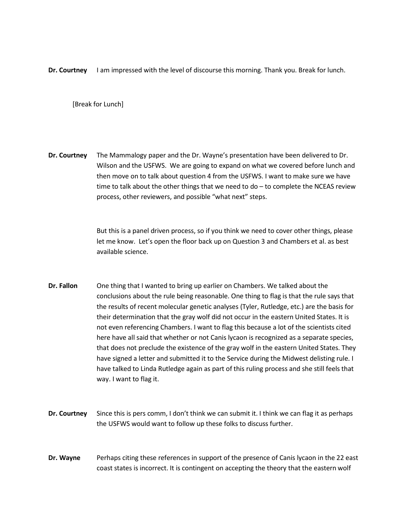**Dr. Courtney** I am impressed with the level of discourse this morning. Thank you. Break for lunch.

[Break for Lunch]

**Dr. Courtney** The Mammalogy paper and the Dr. Wayne's presentation have been delivered to Dr. Wilson and the USFWS. We are going to expand on what we covered before lunch and then move on to talk about question 4 from the USFWS. I want to make sure we have time to talk about the other things that we need to do – to complete the NCEAS review process, other reviewers, and possible "what next" steps.

> But this is a panel driven process, so if you think we need to cover other things, please let me know. Let's open the floor back up on Question 3 and Chambers et al. as best available science.

- **Dr. Fallon** One thing that I wanted to bring up earlier on Chambers. We talked about the conclusions about the rule being reasonable. One thing to flag is that the rule says that the results of recent molecular genetic analyses (Tyler, Rutledge, etc.) are the basis for their determination that the gray wolf did not occur in the eastern United States. It is not even referencing Chambers. I want to flag this because a lot of the scientists cited here have all said that whether or not Canis lycaon is recognized as a separate species, that does not preclude the existence of the gray wolf in the eastern United States. They have signed a letter and submitted it to the Service during the Midwest delisting rule. I have talked to Linda Rutledge again as part of this ruling process and she still feels that way. I want to flag it.
- **Dr. Courtney** Since this is pers comm, I don't think we can submit it. I think we can flag it as perhaps the USFWS would want to follow up these folks to discuss further.
- **Dr. Wayne** Perhaps citing these references in support of the presence of Canis lycaon in the 22 east coast states is incorrect. It is contingent on accepting the theory that the eastern wolf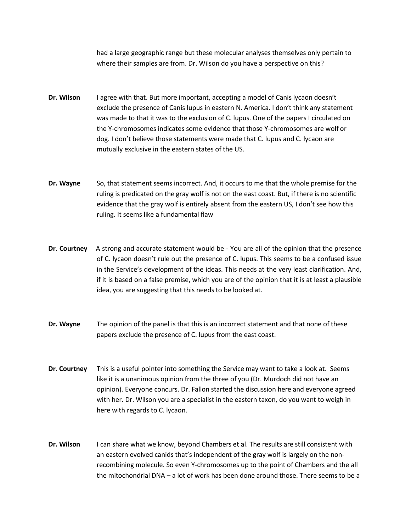had a large geographic range but these molecular analyses themselves only pertain to where their samples are from. Dr. Wilson do you have a perspective on this?

- **Dr. Wilson** I agree with that. But more important, accepting a model of Canis lycaon doesn't exclude the presence of Canis lupus in eastern N. America. I don't think any statement was made to that it was to the exclusion of C. lupus. One of the papers I circulated on the Y-chromosomes indicates some evidence that those Y-chromosomes are wolf or dog. I don't believe those statements were made that C. lupus and C. lycaon are mutually exclusive in the eastern states of the US.
- **Dr. Wayne** So, that statement seems incorrect. And, it occurs to me that the whole premise for the ruling is predicated on the gray wolf is not on the east coast. But, if there is no scientific evidence that the gray wolf is entirely absent from the eastern US, I don't see how this ruling. It seems like a fundamental flaw
- **Dr. Courtney** A strong and accurate statement would be You are all of the opinion that the presence of C. lycaon doesn't rule out the presence of C. lupus. This seems to be a confused issue in the Service's development of the ideas. This needs at the very least clarification. And, if it is based on a false premise, which you are of the opinion that it is at least a plausible idea, you are suggesting that this needs to be looked at.
- **Dr. Wayne** The opinion of the panel is that this is an incorrect statement and that none of these papers exclude the presence of C. lupus from the east coast.
- **Dr. Courtney** This is a useful pointer into something the Service may want to take a look at. Seems like it is a unanimous opinion from the three of you (Dr. Murdoch did not have an opinion). Everyone concurs. Dr. Fallon started the discussion here and everyone agreed with her. Dr. Wilson you are a specialist in the eastern taxon, do you want to weigh in here with regards to C. lycaon.
- **Dr. Wilson** I can share what we know, beyond Chambers et al. The results are still consistent with an eastern evolved canids that's independent of the gray wolf is largely on the nonrecombining molecule. So even Y-chromosomes up to the point of Chambers and the all the mitochondrial DNA – a lot of work has been done around those. There seems to be a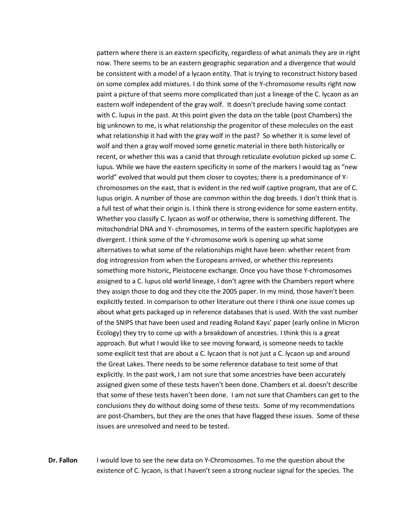pattern where there is an eastern specificity, regardless of what animals they are in right now. There seems to be an eastern geographic separation and a divergence that would be consistent with a model of a lycaon entity. That is trying to reconstruct history based on some complex add mixtures. I do think some of the Y-chromosome results right now paint a picture of that seems more complicated than just a lineage of the C. lycaon as an eastern wolf independent of the gray wolf. It doesn't preclude having some contact with C. lupus in the past. At this point given the data on the table (post Chambers) the big unknown to me, is what relationship the progenitor of these molecules on the east what relationship it had with the gray wolf in the past? So whether it is some level of wolf and then a gray wolf moved some genetic material in there both historically or recent, or whether this was a canid that through reticulate evolution picked up some C. lupus. While we have the eastern specificity in some of the markers I would tag as "new world" evolved that would put them closer to coyotes; there is a predominance of Ychromosomes on the east, that is evident in the red wolf captive program, that are of C. lupus origin. A number of those are common within the dog breeds. I don't think that is a full test of what their origin is. I think there is strong evidence for some eastern entity. Whether you classify C. lycaon as wolf or otherwise, there is something different. The mitochondrial DNA and Y- chromosomes, in terms of the eastern specific haplotypes are divergent. I think some of the Y-chromosome work is opening up what some alternatives to what some of the relationships might have been: whether recent from dog introgression from when the Europeans arrived, or whether this represents something more historic, Pleistocene exchange. Once you have those Y-chromosomes assigned to a C. lupus old world lineage, I don't agree with the Chambers report where they assign those to dog and they cite the 2005 paper. In my mind, those haven't been explicitly tested. In comparison to other literature out there I think one issue comes up about what gets packaged up in reference databases that is used. With the vast number of the SNIPS that have been used and reading Roland Kays' paper (early online in Micron Ecology) they try to come up with a breakdown of ancestries. I think this is a great approach. But what I would like to see moving forward, is someone needs to tackle some explicit test that are about a C. lycaon that is not just a C. lycaon up and around the Great Lakes. There needs to be some reference database to test some of that explicitly. In the past work, I am not sure that some ancestries have been accurately assigned given some of these tests haven't been done. Chambers et al. doesn't describe that some of these tests haven't been done. I am not sure that Chambers can get to the conclusions they do without doing some of these tests. Some of my recommendations are post-Chambers, but they are the ones that have flagged these issues. Some of these issues are unresolved and need to be tested.

**Dr. Fallon** I would love to see the new data on Y-Chromosomes. To me the question about the existence of C. lycaon, is that I haven't seen a strong nuclear signal for the species. The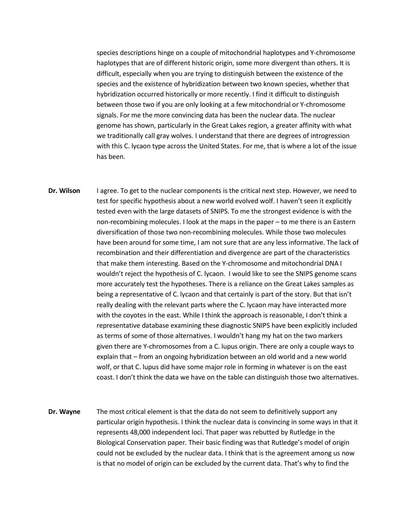species descriptions hinge on a couple of mitochondrial haplotypes and Y-chromosome haplotypes that are of different historic origin, some more divergent than others. It is difficult, especially when you are trying to distinguish between the existence of the species and the existence of hybridization between two known species, whether that hybridization occurred historically or more recently. I find it difficult to distinguish between those two if you are only looking at a few mitochondrial or Y-chromosome signals. For me the more convincing data has been the nuclear data. The nuclear genome has shown, particularly in the Great Lakes region, a greater affinity with what we traditionally call gray wolves. I understand that there are degrees of introgression with this C. lycaon type across the United States. For me, that is where a lot of the issue has been.

- **Dr. Wilson** I agree. To get to the nuclear components is the critical next step. However, we need to test for specific hypothesis about a new world evolved wolf. I haven't seen it explicitly tested even with the large datasets of SNIPS. To me the strongest evidence is with the non-recombining molecules. I look at the maps in the paper – to me there is an Eastern diversification of those two non-recombining molecules. While those two molecules have been around for some time, I am not sure that are any less informative. The lack of recombination and their differentiation and divergence are part of the characteristics that make them interesting. Based on the Y-chromosome and mitochondrial DNA I wouldn't reject the hypothesis of C. lycaon. I would like to see the SNIPS genome scans more accurately test the hypotheses. There is a reliance on the Great Lakes samples as being a representative of C. lycaon and that certainly is part of the story. But that isn't really dealing with the relevant parts where the C. lycaon may have interacted more with the coyotes in the east. While I think the approach is reasonable, I don't think a representative database examining these diagnostic SNIPS have been explicitly included as terms of some of those alternatives. I wouldn't hang my hat on the two markers given there are Y-chromosomes from a C. lupus origin. There are only a couple ways to explain that – from an ongoing hybridization between an old world and a new world wolf, or that C. lupus did have some major role in forming in whatever is on the east coast. I don't think the data we have on the table can distinguish those two alternatives.
- **Dr. Wayne** The most critical element is that the data do not seem to definitively support any particular origin hypothesis. I think the nuclear data is convincing in some ways in that it represents 48,000 independent loci. That paper was rebutted by Rutledge in the Biological Conservation paper. Their basic finding was that Rutledge's model of origin could not be excluded by the nuclear data. I think that is the agreement among us now is that no model of origin can be excluded by the current data. That's why to find the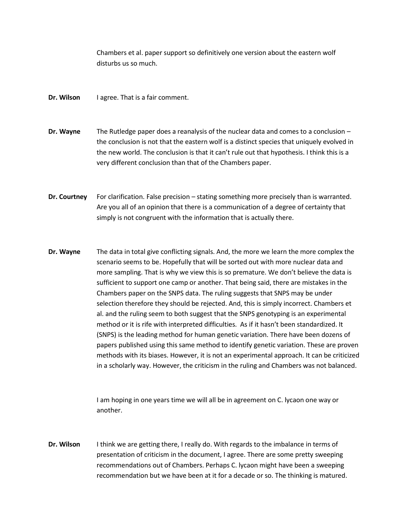Chambers et al. paper support so definitively one version about the eastern wolf disturbs us so much.

- **Dr. Wilson** I agree. That is a fair comment.
- **Dr. Wayne** The Rutledge paper does a reanalysis of the nuclear data and comes to a conclusion the conclusion is not that the eastern wolf is a distinct species that uniquely evolved in the new world. The conclusion is that it can't rule out that hypothesis. I think this is a very different conclusion than that of the Chambers paper.
- **Dr. Courtney** For clarification. False precision stating something more precisely than is warranted. Are you all of an opinion that there is a communication of a degree of certainty that simply is not congruent with the information that is actually there.
- **Dr. Wayne** The data in total give conflicting signals. And, the more we learn the more complex the scenario seems to be. Hopefully that will be sorted out with more nuclear data and more sampling. That is why we view this is so premature. We don't believe the data is sufficient to support one camp or another. That being said, there are mistakes in the Chambers paper on the SNPS data. The ruling suggests that SNPS may be under selection therefore they should be rejected. And, this is simply incorrect. Chambers et al. and the ruling seem to both suggest that the SNPS genotyping is an experimental method or it is rife with interpreted difficulties. As if it hasn't been standardized. It (SNPS) is the leading method for human genetic variation. There have been dozens of papers published using this same method to identify genetic variation. These are proven methods with its biases. However, it is not an experimental approach. It can be criticized in a scholarly way. However, the criticism in the ruling and Chambers was not balanced.

I am hoping in one years time we will all be in agreement on C. lycaon one way or another.

**Dr. Wilson** I think we are getting there, I really do. With regards to the imbalance in terms of presentation of criticism in the document, I agree. There are some pretty sweeping recommendations out of Chambers. Perhaps C. lycaon might have been a sweeping recommendation but we have been at it for a decade or so. The thinking is matured.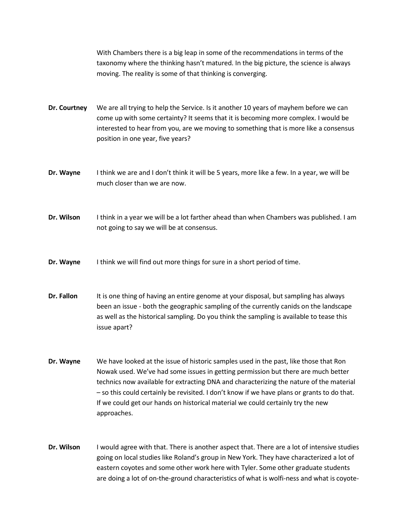With Chambers there is a big leap in some of the recommendations in terms of the taxonomy where the thinking hasn't matured. In the big picture, the science is always moving. The reality is some of that thinking is converging.

**Dr. Courtney** We are all trying to help the Service. Is it another 10 years of mayhem before we can come up with some certainty? It seems that it is becoming more complex. I would be interested to hear from you, are we moving to something that is more like a consensus position in one year, five years?

- **Dr. Wayne** I think we are and I don't think it will be 5 years, more like a few. In a year, we will be much closer than we are now.
- **Dr. Wilson** I think in a year we will be a lot farther ahead than when Chambers was published. I am not going to say we will be at consensus.
- **Dr. Wayne** I think we will find out more things for sure in a short period of time.
- **Dr. Fallon** It is one thing of having an entire genome at your disposal, but sampling has always been an issue - both the geographic sampling of the currently canids on the landscape as well as the historical sampling. Do you think the sampling is available to tease this issue apart?
- **Dr. Wayne** We have looked at the issue of historic samples used in the past, like those that Ron Nowak used. We've had some issues in getting permission but there are much better technics now available for extracting DNA and characterizing the nature of the material – so this could certainly be revisited. I don't know if we have plans or grants to do that. If we could get our hands on historical material we could certainly try the new approaches.
- **Dr. Wilson** I would agree with that. There is another aspect that. There are a lot of intensive studies going on local studies like Roland's group in New York. They have characterized a lot of eastern coyotes and some other work here with Tyler. Some other graduate students are doing a lot of on-the-ground characteristics of what is wolfi-ness and what is coyote-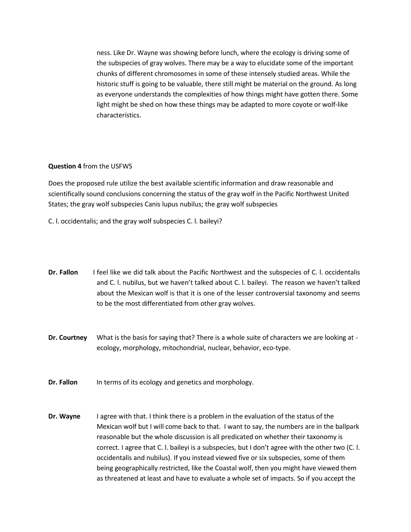ness. Like Dr. Wayne was showing before lunch, where the ecology is driving some of the subspecies of gray wolves. There may be a way to elucidate some of the important chunks of different chromosomes in some of these intensely studied areas. While the historic stuff is going to be valuable, there still might be material on the ground. As long as everyone understands the complexities of how things might have gotten there. Some light might be shed on how these things may be adapted to more coyote or wolf-like characteristics.

### **Question 4** from the USFWS

Does the proposed rule utilize the best available scientific information and draw reasonable and scientifically sound conclusions concerning the status of the gray wolf in the Pacific Northwest United States; the gray wolf subspecies Canis lupus nubilus; the gray wolf subspecies

C. l. occidentalis; and the gray wolf subspecies C. l. baileyi?

- **Dr. Fallon** I feel like we did talk about the Pacific Northwest and the subspecies of C. l. occidentalis and C. l. nubilus, but we haven't talked about C. l. baileyi. The reason we haven't talked about the Mexican wolf is that it is one of the lesser controversial taxonomy and seems to be the most differentiated from other gray wolves.
- **Dr. Courtney** What is the basis for saying that? There is a whole suite of characters we are looking at ecology, morphology, mitochondrial, nuclear, behavior, eco-type.
- **Dr. Fallon** In terms of its ecology and genetics and morphology.
- **Dr. Wayne** I agree with that. I think there is a problem in the evaluation of the status of the Mexican wolf but I will come back to that. I want to say, the numbers are in the ballpark reasonable but the whole discussion is all predicated on whether their taxonomy is correct. I agree that C. l. baileyi is a subspecies, but I don't agree with the other two (C. l. occidentalis and nubilus). If you instead viewed five or six subspecies, some of them being geographically restricted, like the Coastal wolf, then you might have viewed them as threatened at least and have to evaluate a whole set of impacts. So if you accept the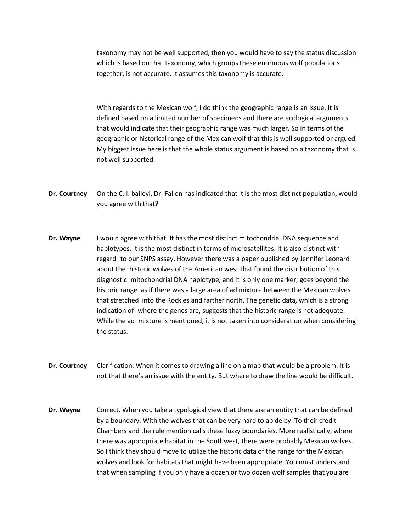taxonomy may not be well supported, then you would have to say the status discussion which is based on that taxonomy, which groups these enormous wolf populations together, is not accurate. It assumes this taxonomy is accurate.

With regards to the Mexican wolf, I do think the geographic range is an issue. It is defined based on a limited number of specimens and there are ecological arguments that would indicate that their geographic range was much larger. So in terms of the geographic or historical range of the Mexican wolf that this is well supported or argued. My biggest issue here is that the whole status argument is based on a taxonomy that is not well supported.

- **Dr. Courtney** On the C. I. baileyi, Dr. Fallon has indicated that it is the most distinct population, would you agree with that?
- **Dr. Wayne** I would agree with that. It has the most distinct mitochondrial DNA sequence and haplotypes. It is the most distinct in terms of microsatellites. It is also distinct with regard to our SNPS assay. However there was a paper published by Jennifer Leonard about the historic wolves of the American west that found the distribution of this diagnostic mitochondrial DNA haplotype, and it is only one marker, goes beyond the historic range as if there was a large area of ad mixture between the Mexican wolves that stretched into the Rockies and farther north. The genetic data, which is a strong indication of where the genes are, suggests that the historic range is not adequate. While the ad mixture is mentioned, it is not taken into consideration when considering the status.
- **Dr. Courtney** Clarification. When it comes to drawing a line on a map that would be a problem. It is not that there's an issue with the entity. But where to draw the line would be difficult.
- **Dr. Wayne** Correct. When you take a typological view that there are an entity that can be defined by a boundary. With the wolves that can be very hard to abide by. To their credit Chambers and the rule mention calls these fuzzy boundaries. More realistically, where there was appropriate habitat in the Southwest, there were probably Mexican wolves. So I think they should move to utilize the historic data of the range for the Mexican wolves and look for habitats that might have been appropriate. You must understand that when sampling if you only have a dozen or two dozen wolf samples that you are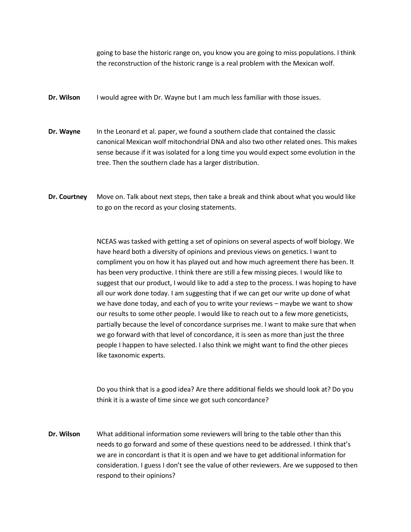going to base the historic range on, you know you are going to miss populations. I think the reconstruction of the historic range is a real problem with the Mexican wolf.

- **Dr. Wilson** I would agree with Dr. Wayne but I am much less familiar with those issues.
- **Dr. Wayne** In the Leonard et al. paper, we found a southern clade that contained the classic canonical Mexican wolf mitochondrial DNA and also two other related ones. This makes sense because if it was isolated for a long time you would expect some evolution in the tree. Then the southern clade has a larger distribution.
- **Dr. Courtney** Move on. Talk about next steps, then take a break and think about what you would like to go on the record as your closing statements.

NCEAS was tasked with getting a set of opinions on several aspects of wolf biology. We have heard both a diversity of opinions and previous views on genetics. I want to compliment you on how it has played out and how much agreement there has been. It has been very productive. I think there are still a few missing pieces. I would like to suggest that our product, I would like to add a step to the process. I was hoping to have all our work done today. I am suggesting that if we can get our write up done of what we have done today, and each of you to write your reviews – maybe we want to show our results to some other people. I would like to reach out to a few more geneticists, partially because the level of concordance surprises me. I want to make sure that when we go forward with that level of concordance, it is seen as more than just the three people I happen to have selected. I also think we might want to find the other pieces like taxonomic experts.

Do you think that is a good idea? Are there additional fields we should look at? Do you think it is a waste of time since we got such concordance?

**Dr. Wilson** What additional information some reviewers will bring to the table other than this needs to go forward and some of these questions need to be addressed. I think that's we are in concordant is that it is open and we have to get additional information for consideration. I guess I don't see the value of other reviewers. Are we supposed to then respond to their opinions?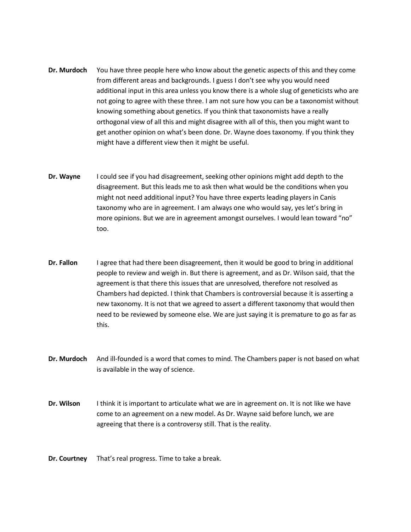- **Dr. Murdoch** You have three people here who know about the genetic aspects of this and they come from different areas and backgrounds. I guess I don't see why you would need additional input in this area unless you know there is a whole slug of geneticists who are not going to agree with these three. I am not sure how you can be a taxonomist without knowing something about genetics. If you think that taxonomists have a really orthogonal view of all this and might disagree with all of this, then you might want to get another opinion on what's been done. Dr. Wayne does taxonomy. If you think they might have a different view then it might be useful.
- **Dr. Wayne** I could see if you had disagreement, seeking other opinions might add depth to the disagreement. But this leads me to ask then what would be the conditions when you might not need additional input? You have three experts leading players in Canis taxonomy who are in agreement. I am always one who would say, yes let's bring in more opinions. But we are in agreement amongst ourselves. I would lean toward "no" too.
- **Dr. Fallon** I agree that had there been disagreement, then it would be good to bring in additional people to review and weigh in. But there is agreement, and as Dr. Wilson said, that the agreement is that there this issues that are unresolved, therefore not resolved as Chambers had depicted. I think that Chambers is controversial because it is asserting a new taxonomy. It is not that we agreed to assert a different taxonomy that would then need to be reviewed by someone else. We are just saying it is premature to go as far as this.
- **Dr. Murdoch** And ill-founded is a word that comes to mind. The Chambers paper is not based on what is available in the way of science.
- **Dr. Wilson** I think it is important to articulate what we are in agreement on. It is not like we have come to an agreement on a new model. As Dr. Wayne said before lunch, we are agreeing that there is a controversy still. That is the reality.
- **Dr. Courtney** That's real progress. Time to take a break.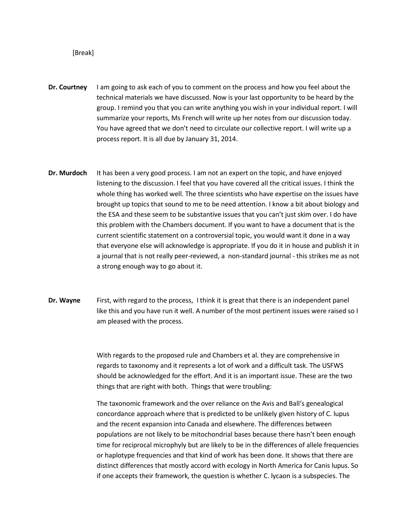#### [Break]

- **Dr. Courtney** I am going to ask each of you to comment on the process and how you feel about the technical materials we have discussed. Now is your last opportunity to be heard by the group. I remind you that you can write anything you wish in your individual report. I will summarize your reports, Ms French will write up her notes from our discussion today. You have agreed that we don't need to circulate our collective report. I will write up a process report. It is all due by January 31, 2014.
- **Dr. Murdoch** It has been a very good process. I am not an expert on the topic, and have enjoyed listening to the discussion. I feel that you have covered all the critical issues. I think the whole thing has worked well. The three scientists who have expertise on the issues have brought up topics that sound to me to be need attention. I know a bit about biology and the ESA and these seem to be substantive issues that you can't just skim over. I do have this problem with the Chambers document. If you want to have a document that is the current scientific statement on a controversial topic, you would want it done in a way that everyone else will acknowledge is appropriate. If you do it in house and publish it in a journal that is not really peer-reviewed, a non-standard journal - this strikes me as not a strong enough way to go about it.
- **Dr. Wayne** First, with regard to the process, I think it is great that there is an independent panel like this and you have run it well. A number of the most pertinent issues were raised so I am pleased with the process.

With regards to the proposed rule and Chambers et al. they are comprehensive in regards to taxonomy and it represents a lot of work and a difficult task. The USFWS should be acknowledged for the effort. And it is an important issue. These are the two things that are right with both. Things that were troubling:

The taxonomic framework and the over reliance on the Avis and Ball's genealogical concordance approach where that is predicted to be unlikely given history of C. lupus and the recent expansion into Canada and elsewhere. The differences between populations are not likely to be mitochondrial bases because there hasn't been enough time for reciprocal microphyly but are likely to be in the differences of allele frequencies or haplotype frequencies and that kind of work has been done. It shows that there are distinct differences that mostly accord with ecology in North America for Canis lupus. So if one accepts their framework, the question is whether C. lycaon is a subspecies. The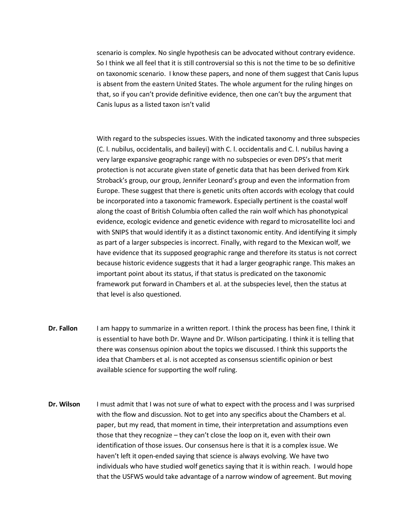scenario is complex. No single hypothesis can be advocated without contrary evidence. So I think we all feel that it is still controversial so this is not the time to be so definitive on taxonomic scenario. I know these papers, and none of them suggest that Canis lupus is absent from the eastern United States. The whole argument for the ruling hinges on that, so if you can't provide definitive evidence, then one can't buy the argument that Canis lupus as a listed taxon isn't valid

With regard to the subspecies issues. With the indicated taxonomy and three subspecies (C. l. nubilus, occidentalis, and baileyi) with C. l. occidentalis and C. l. nubilus having a very large expansive geographic range with no subspecies or even DPS's that merit protection is not accurate given state of genetic data that has been derived from Kirk Stroback's group, our group, Jennifer Leonard's group and even the information from Europe. These suggest that there is genetic units often accords with ecology that could be incorporated into a taxonomic framework. Especially pertinent is the coastal wolf along the coast of British Columbia often called the rain wolf which has phonotypical evidence, ecologic evidence and genetic evidence with regard to microsatellite loci and with SNIPS that would identify it as a distinct taxonomic entity. And identifying it simply as part of a larger subspecies is incorrect. Finally, with regard to the Mexican wolf, we have evidence that its supposed geographic range and therefore its status is not correct because historic evidence suggests that it had a larger geographic range. This makes an important point about its status, if that status is predicated on the taxonomic framework put forward in Chambers et al. at the subspecies level, then the status at that level is also questioned.

- **Dr. Fallon** I am happy to summarize in a written report. I think the process has been fine, I think it is essential to have both Dr. Wayne and Dr. Wilson participating. I think it is telling that there was consensus opinion about the topics we discussed. I think this supports the idea that Chambers et al. is not accepted as consensus scientific opinion or best available science for supporting the wolf ruling.
- **Dr. Wilson** I must admit that I was not sure of what to expect with the process and I was surprised with the flow and discussion. Not to get into any specifics about the Chambers et al. paper, but my read, that moment in time, their interpretation and assumptions even those that they recognize – they can't close the loop on it, even with their own identification of those issues. Our consensus here is that it is a complex issue. We haven't left it open-ended saying that science is always evolving. We have two individuals who have studied wolf genetics saying that it is within reach. I would hope that the USFWS would take advantage of a narrow window of agreement. But moving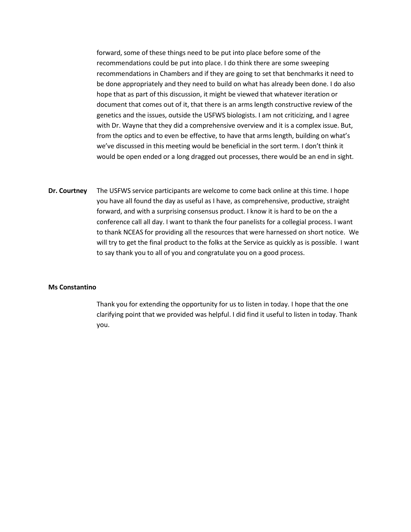forward, some of these things need to be put into place before some of the recommendations could be put into place. I do think there are some sweeping recommendations in Chambers and if they are going to set that benchmarks it need to be done appropriately and they need to build on what has already been done. I do also hope that as part of this discussion, it might be viewed that whatever iteration or document that comes out of it, that there is an arms length constructive review of the genetics and the issues, outside the USFWS biologists. I am not criticizing, and I agree with Dr. Wayne that they did a comprehensive overview and it is a complex issue. But, from the optics and to even be effective, to have that arms length, building on what's we've discussed in this meeting would be beneficial in the sort term. I don't think it would be open ended or a long dragged out processes, there would be an end in sight.

**Dr. Courtney** The USFWS service participants are welcome to come back online at this time. I hope you have all found the day as useful as I have, as comprehensive, productive, straight forward, and with a surprising consensus product. I know it is hard to be on the a conference call all day. I want to thank the four panelists for a collegial process. I want to thank NCEAS for providing all the resources that were harnessed on short notice. We will try to get the final product to the folks at the Service as quickly as is possible. I want to say thank you to all of you and congratulate you on a good process.

#### **Ms Constantino**

Thank you for extending the opportunity for us to listen in today. I hope that the one clarifying point that we provided was helpful. I did find it useful to listen in today. Thank you.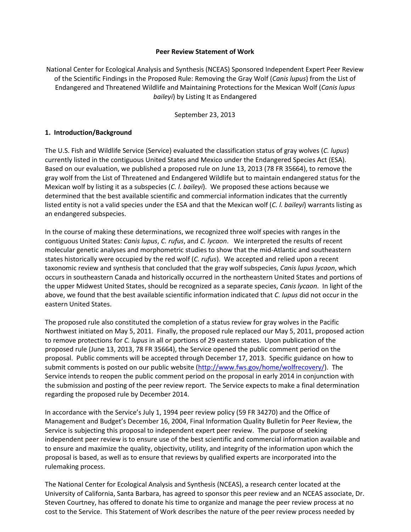### **Peer Review Statement of Work**

National Center for Ecological Analysis and Synthesis (NCEAS) Sponsored Independent Expert Peer Review of the Scientific Findings in the Proposed Rule: Removing the Gray Wolf (*Canis lupus*) from the List of Endangered and Threatened Wildlife and Maintaining Protections for the Mexican Wolf (*Canis lupus baileyi*) by Listing It as Endangered

September 23, 2013

# **1. Introduction/Background**

The U.S. Fish and Wildlife Service (Service) evaluated the classification status of gray wolves (*C. lupus*) currently listed in the contiguous United States and Mexico under the Endangered Species Act (ESA). Based on our evaluation, we published a proposed rule on June 13, 2013 (78 FR 35664), to remove the gray wolf from the List of Threatened and Endangered Wildlife but to maintain endangered status for the Mexican wolf by listing it as a subspecies (*C. l. baileyi*). We proposed these actions because we determined that the best available scientific and commercial information indicates that the currently listed entity is not a valid species under the ESA and that the Mexican wolf (*C. l. baileyi*) warrants listing as an endangered subspecies.

In the course of making these determinations, we recognized three wolf species with ranges in the contiguous United States: *Canis lupus*, *C. rufus*, and *C. lycaon*. We interpreted the results of recent molecular genetic analyses and morphometric studies to show that the mid-Atlantic and southeastern states historically were occupied by the red wolf (*C. rufus*). We accepted and relied upon a recent taxonomic review and synthesis that concluded that the gray wolf subspecies, *Canis lupus lycaon*, which occurs in southeastern Canada and historically occurred in the northeastern United States and portions of the upper Midwest United States, should be recognized as a separate species, *Canis lycaon*. In light of the above, we found that the best available scientific information indicated that *C. lupus* did not occur in the eastern United States.

The proposed rule also constituted the completion of a status review for gray wolves in the Pacific Northwest initiated on May 5, 2011. Finally, the proposed rule replaced our May 5, 2011, proposed action to remove protections for *C. lupus* in all or portions of 29 eastern states. Upon publication of the proposed rule (June 13, 2013, 78 FR 35664), the Service opened the public comment period on the proposal. Public comments will be accepted through December 17, 2013. Specific guidance on how to submit comments is posted on our public website [\(http://www.fws.gov/home/wolfrecovery/\)](http://www.fws.gov/home/wolfrecovery/). The Service intends to reopen the public comment period on the proposal in early 2014 in conjunction with the submission and posting of the peer review report. The Service expects to make a final determination regarding the proposed rule by December 2014.

In accordance with the Service's July 1, 1994 peer review policy (59 FR 34270) and the Office of Management and Budget's December 16, 2004, Final Information Quality Bulletin for Peer Review, the Service is subjecting this proposal to independent expert peer review. The purpose of seeking independent peer review is to ensure use of the best scientific and commercial information available and to ensure and maximize the quality, objectivity, utility, and integrity of the information upon which the proposal is based, as well as to ensure that reviews by qualified experts are incorporated into the rulemaking process.

The National Center for Ecological Analysis and Synthesis (NCEAS), a research center located at the University of California, Santa Barbara, has agreed to sponsor this peer review and an NCEAS associate, Dr. Steven Courtney, has offered to donate his time to organize and manage the peer review process at no cost to the Service. This Statement of Work describes the nature of the peer review process needed by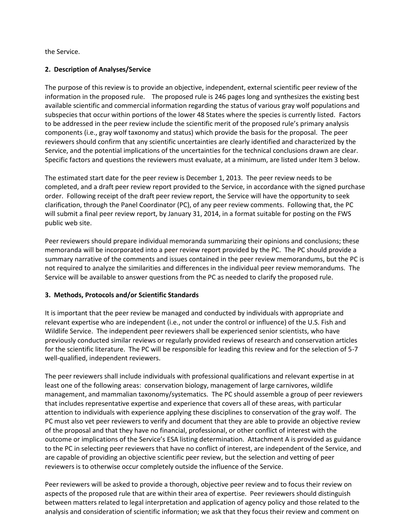the Service.

# **2. Description of Analyses/Service**

The purpose of this review is to provide an objective, independent, external scientific peer review of the information in the proposed rule. The proposed rule is 246 pages long and synthesizes the existing best available scientific and commercial information regarding the status of various gray wolf populations and subspecies that occur within portions of the lower 48 States where the species is currently listed. Factors to be addressed in the peer review include the scientific merit of the proposed rule's primary analysis components (i.e., gray wolf taxonomy and status) which provide the basis for the proposal. The peer reviewers should confirm that any scientific uncertainties are clearly identified and characterized by the Service, and the potential implications of the uncertainties for the technical conclusions drawn are clear. Specific factors and questions the reviewers must evaluate, at a minimum, are listed under Item 3 below.

The estimated start date for the peer review is December 1, 2013. The peer review needs to be completed, and a draft peer review report provided to the Service, in accordance with the signed purchase order. Following receipt of the draft peer review report, the Service will have the opportunity to seek clarification, through the Panel Coordinator (PC), of any peer review comments. Following that, the PC will submit a final peer review report, by January 31, 2014, in a format suitable for posting on the FWS public web site.

Peer reviewers should prepare individual memoranda summarizing their opinions and conclusions; these memoranda will be incorporated into a peer review report provided by the PC. The PC should provide a summary narrative of the comments and issues contained in the peer review memorandums, but the PC is not required to analyze the similarities and differences in the individual peer review memorandums. The Service will be available to answer questions from the PC as needed to clarify the proposed rule.

# **3. Methods, Protocols and/or Scientific Standards**

It is important that the peer review be managed and conducted by individuals with appropriate and relevant expertise who are independent (i.e., not under the control or influence) of the U.S. Fish and Wildlife Service. The independent peer reviewers shall be experienced senior scientists, who have previously conducted similar reviews or regularly provided reviews of research and conservation articles for the scientific literature. The PC will be responsible for leading this review and for the selection of 5-7 well-qualified, independent reviewers.

The peer reviewers shall include individuals with professional qualifications and relevant expertise in at least one of the following areas: conservation biology, management of large carnivores, wildlife management, and mammalian taxonomy/systematics. The PC should assemble a group of peer reviewers that includes representative expertise and experience that covers all of these areas, with particular attention to individuals with experience applying these disciplines to conservation of the gray wolf. The PC must also vet peer reviewers to verify and document that they are able to provide an objective review of the proposal and that they have no financial, professional, or other conflict of interest with the outcome or implications of the Service's ESA listing determination. Attachment A is provided as guidance to the PC in selecting peer reviewers that have no conflict of interest, are independent of the Service, and are capable of providing an objective scientific peer review, but the selection and vetting of peer reviewers is to otherwise occur completely outside the influence of the Service.

Peer reviewers will be asked to provide a thorough, objective peer review and to focus their review on aspects of the proposed rule that are within their area of expertise. Peer reviewers should distinguish between matters related to legal interpretation and application of agency policy and those related to the analysis and consideration of scientific information; we ask that they focus their review and comment on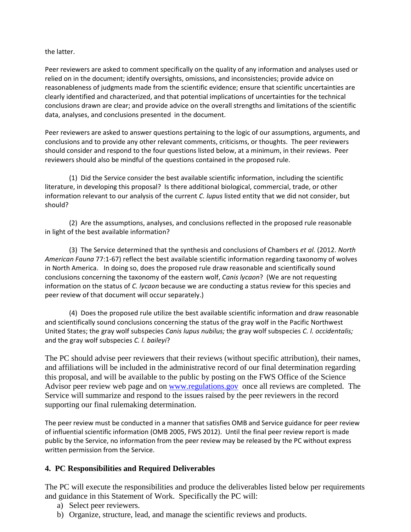the latter.

Peer reviewers are asked to comment specifically on the quality of any information and analyses used or relied on in the document; identify oversights, omissions, and inconsistencies; provide advice on reasonableness of judgments made from the scientific evidence; ensure that scientific uncertainties are clearly identified and characterized, and that potential implications of uncertainties for the technical conclusions drawn are clear; and provide advice on the overall strengths and limitations of the scientific data, analyses, and conclusions presented in the document.

Peer reviewers are asked to answer questions pertaining to the logic of our assumptions, arguments, and conclusions and to provide any other relevant comments, criticisms, or thoughts. The peer reviewers should consider and respond to the four questions listed below, at a minimum, in their reviews. Peer reviewers should also be mindful of the questions contained in the proposed rule.

(1) Did the Service consider the best available scientific information, including the scientific literature, in developing this proposal? Is there additional biological, commercial, trade, or other information relevant to our analysis of the current *C. lupus* listed entity that we did not consider, but should?

(2) Are the assumptions, analyses, and conclusions reflected in the proposed rule reasonable in light of the best available information?

(3) The Service determined that the synthesis and conclusions of Chambers *et al.* (2012. *North American Fauna* 77:1-67) reflect the best available scientific information regarding taxonomy of wolves in North America. In doing so, does the proposed rule draw reasonable and scientifically sound conclusions concerning the taxonomy of the eastern wolf, *Canis lycaon*? (We are not requesting information on the status of *C. lycaon* because we are conducting a status review for this species and peer review of that document will occur separately.)

(4) Does the proposed rule utilize the best available scientific information and draw reasonable and scientifically sound conclusions concerning the status of the gray wolf in the Pacific Northwest United States; the gray wolf subspecies *Canis lupus nubilus;* the gray wolf subspecies *C. l. occidentalis;* and the gray wolf subspecies *C. l. baileyi*?

The PC should advise peer reviewers that their reviews (without specific attribution), their names, and affiliations will be included in the administrative record of our final determination regarding this proposal, and will be available to the public by posting on the FWS Office of the Science Advisor peer review web page and on [www.regulations.gov](http://www.regulations.gov/) once all reviews are completed. The Service will summarize and respond to the issues raised by the peer reviewers in the record supporting our final rulemaking determination.

The peer review must be conducted in a manner that satisfies OMB and Service guidance for peer review of influential scientific information (OMB 2005, FWS 2012). Until the final peer review report is made public by the Service, no information from the peer review may be released by the PC without express written permission from the Service.

# **4. PC Responsibilities and Required Deliverables**

The PC will execute the responsibilities and produce the deliverables listed below per requirements and guidance in this Statement of Work. Specifically the PC will:

- a) Select peer reviewers.
- b) Organize, structure, lead, and manage the scientific reviews and products.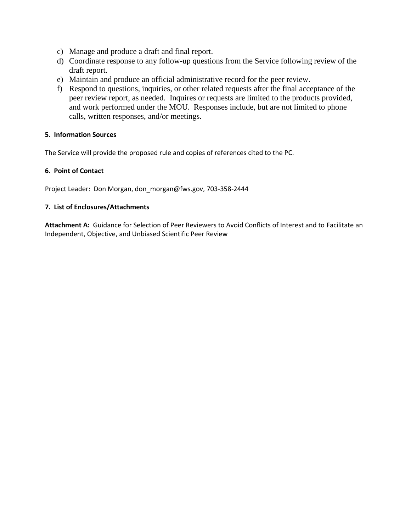- c) Manage and produce a draft and final report.
- d) Coordinate response to any follow-up questions from the Service following review of the draft report.
- e) Maintain and produce an official administrative record for the peer review.
- f) Respond to questions, inquiries, or other related requests after the final acceptance of the peer review report, as needed. Inquires or requests are limited to the products provided, and work performed under the MOU. Responses include, but are not limited to phone calls, written responses, and/or meetings.

# **5. Information Sources**

The Service will provide the proposed rule and copies of references cited to the PC.

# **6. Point of Contact**

Project Leader: Don Morgan, don\_morgan@fws.gov, 703-358-2444

# **7. List of Enclosures/Attachments**

**Attachment A:** Guidance for Selection of Peer Reviewers to Avoid Conflicts of Interest and to Facilitate an Independent, Objective, and Unbiased Scientific Peer Review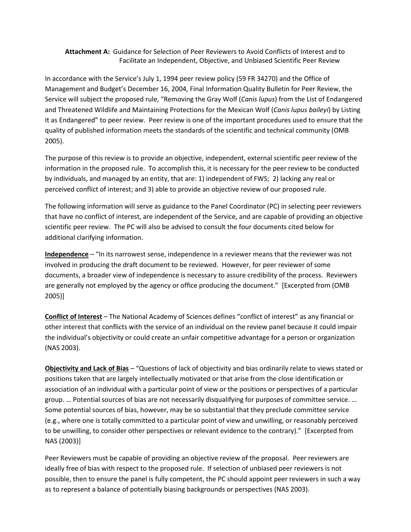**Attachment A:** Guidance for Selection of Peer Reviewers to Avoid Conflicts of Interest and to Facilitate an Independent, Objective, and Unbiased Scientific Peer Review

In accordance with the Service's July 1, 1994 peer review policy (59 FR 34270) and the Office of Management and Budget's December 16, 2004, Final Information Quality Bulletin for Peer Review, the Service will subject the proposed rule, "Removing the Gray Wolf (*Canis lupus*) from the List of Endangered and Threatened Wildlife and Maintaining Protections for the Mexican Wolf (*Canis lupus baileyi*) by Listing It as Endangered" to peer review. Peer review is one of the important procedures used to ensure that the quality of published information meets the standards of the scientific and technical community (OMB 2005).

The purpose of this review is to provide an objective, independent, external scientific peer review of the information in the proposed rule. To accomplish this, it is necessary for the peer review to be conducted by individuals, and managed by an entity, that are: 1) independent of FWS; 2) lacking any real or perceived conflict of interest; and 3) able to provide an objective review of our proposed rule.

The following information will serve as guidance to the Panel Coordinator (PC) in selecting peer reviewers that have no conflict of interest, are independent of the Service, and are capable of providing an objective scientific peer review. The PC will also be advised to consult the four documents cited below for additional clarifying information.

**Independence** – "In its narrowest sense, independence in a reviewer means that the reviewer was not involved in producing the draft document to be reviewed. However, for peer reviewer of some documents, a broader view of independence is necessary to assure credibility of the process. Reviewers are generally not employed by the agency or office producing the document." [Excerpted from (OMB 2005)]

**Conflict of Interest** – The National Academy of Sciences defines "conflict of interest" as any financial or other interest that conflicts with the service of an individual on the review panel because it could impair the individual's objectivity or could create an unfair competitive advantage for a person or organization (NAS 2003).

**Objectivity and Lack of Bias** – "Questions of lack of objectivity and bias ordinarily relate to views stated or positions taken that are largely intellectually motivated or that arise from the close identification or association of an individual with a particular point of view or the positions or perspectives of a particular group. … Potential sources of bias are not necessarily disqualifying for purposes of committee service. … Some potential sources of bias, however, may be so substantial that they preclude committee service (e.g., where one is totally committed to a particular point of view and unwilling, or reasonably perceived to be unwilling, to consider other perspectives or relevant evidence to the contrary)." [Excerpted from NAS (2003)]

Peer Reviewers must be capable of providing an objective review of the proposal. Peer reviewers are ideally free of bias with respect to the proposed rule. If selection of unbiased peer reviewers is not possible, then to ensure the panel is fully competent, the PC should appoint peer reviewers in such a way as to represent a balance of potentially biasing backgrounds or perspectives (NAS 2003).